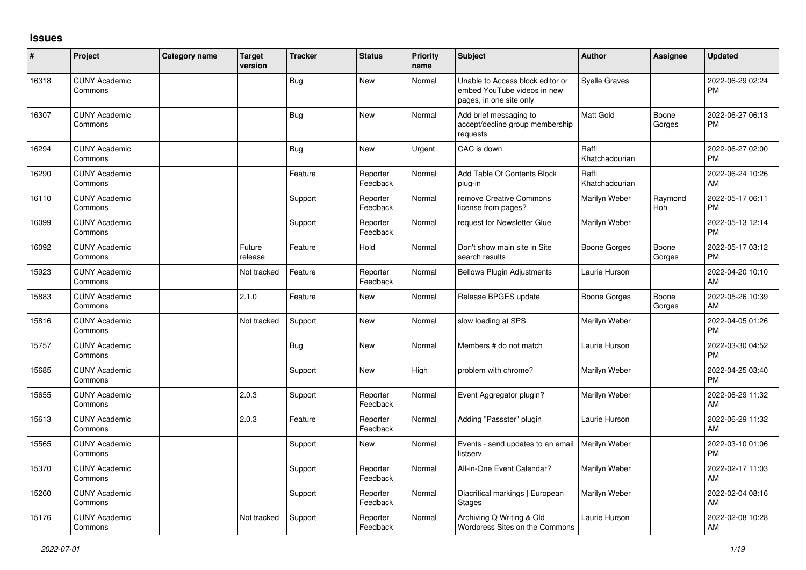## **Issues**

| #     | Project                         | <b>Category name</b> | <b>Target</b><br>version | <b>Tracker</b> | <b>Status</b>        | <b>Priority</b><br>name | <b>Subject</b>                                                                             | <b>Author</b>           | <b>Assignee</b> | <b>Updated</b>                |
|-------|---------------------------------|----------------------|--------------------------|----------------|----------------------|-------------------------|--------------------------------------------------------------------------------------------|-------------------------|-----------------|-------------------------------|
| 16318 | <b>CUNY Academic</b><br>Commons |                      |                          | Bug            | <b>New</b>           | Normal                  | Unable to Access block editor or<br>embed YouTube videos in new<br>pages, in one site only | <b>Syelle Graves</b>    |                 | 2022-06-29 02:24<br><b>PM</b> |
| 16307 | <b>CUNY Academic</b><br>Commons |                      |                          | Bug            | <b>New</b>           | Normal                  | Add brief messaging to<br>accept/decline group membership<br>requests                      | Matt Gold               | Boone<br>Gorges | 2022-06-27 06:13<br><b>PM</b> |
| 16294 | <b>CUNY Academic</b><br>Commons |                      |                          | <b>Bug</b>     | <b>New</b>           | Urgent                  | CAC is down                                                                                | Raffi<br>Khatchadourian |                 | 2022-06-27 02:00<br><b>PM</b> |
| 16290 | <b>CUNY Academic</b><br>Commons |                      |                          | Feature        | Reporter<br>Feedback | Normal                  | Add Table Of Contents Block<br>plug-in                                                     | Raffi<br>Khatchadourian |                 | 2022-06-24 10:26<br>AM        |
| 16110 | <b>CUNY Academic</b><br>Commons |                      |                          | Support        | Reporter<br>Feedback | Normal                  | remove Creative Commons<br>license from pages?                                             | Marilyn Weber           | Raymond<br>Hoh  | 2022-05-17 06:11<br><b>PM</b> |
| 16099 | <b>CUNY Academic</b><br>Commons |                      |                          | Support        | Reporter<br>Feedback | Normal                  | request for Newsletter Glue                                                                | Marilyn Weber           |                 | 2022-05-13 12:14<br><b>PM</b> |
| 16092 | <b>CUNY Academic</b><br>Commons |                      | Future<br>release        | Feature        | Hold                 | Normal                  | Don't show main site in Site<br>search results                                             | Boone Gorges            | Boone<br>Gorges | 2022-05-17 03:12<br><b>PM</b> |
| 15923 | <b>CUNY Academic</b><br>Commons |                      | Not tracked              | Feature        | Reporter<br>Feedback | Normal                  | <b>Bellows Plugin Adjustments</b>                                                          | Laurie Hurson           |                 | 2022-04-20 10:10<br>AM        |
| 15883 | <b>CUNY Academic</b><br>Commons |                      | 2.1.0                    | Feature        | <b>New</b>           | Normal                  | Release BPGES update                                                                       | Boone Gorges            | Boone<br>Gorges | 2022-05-26 10:39<br>AM        |
| 15816 | <b>CUNY Academic</b><br>Commons |                      | Not tracked              | Support        | <b>New</b>           | Normal                  | slow loading at SPS                                                                        | Marilyn Weber           |                 | 2022-04-05 01:26<br><b>PM</b> |
| 15757 | <b>CUNY Academic</b><br>Commons |                      |                          | Bug            | <b>New</b>           | Normal                  | Members # do not match                                                                     | Laurie Hurson           |                 | 2022-03-30 04:52<br><b>PM</b> |
| 15685 | <b>CUNY Academic</b><br>Commons |                      |                          | Support        | <b>New</b>           | High                    | problem with chrome?                                                                       | Marilyn Weber           |                 | 2022-04-25 03:40<br><b>PM</b> |
| 15655 | <b>CUNY Academic</b><br>Commons |                      | 2.0.3                    | Support        | Reporter<br>Feedback | Normal                  | Event Aggregator plugin?                                                                   | Marilyn Weber           |                 | 2022-06-29 11:32<br>AM        |
| 15613 | <b>CUNY Academic</b><br>Commons |                      | 2.0.3                    | Feature        | Reporter<br>Feedback | Normal                  | Adding "Passster" plugin                                                                   | Laurie Hurson           |                 | 2022-06-29 11:32<br>AM        |
| 15565 | <b>CUNY Academic</b><br>Commons |                      |                          | Support        | <b>New</b>           | Normal                  | Events - send updates to an email<br>listserv                                              | Marilyn Weber           |                 | 2022-03-10 01:06<br><b>PM</b> |
| 15370 | <b>CUNY Academic</b><br>Commons |                      |                          | Support        | Reporter<br>Feedback | Normal                  | All-in-One Event Calendar?                                                                 | Marilyn Weber           |                 | 2022-02-17 11:03<br>AM        |
| 15260 | <b>CUNY Academic</b><br>Commons |                      |                          | Support        | Reporter<br>Feedback | Normal                  | Diacritical markings   European<br><b>Stages</b>                                           | Marilyn Weber           |                 | 2022-02-04 08:16<br>AM        |
| 15176 | <b>CUNY Academic</b><br>Commons |                      | Not tracked              | Support        | Reporter<br>Feedback | Normal                  | Archiving Q Writing & Old<br>Wordpress Sites on the Commons                                | Laurie Hurson           |                 | 2022-02-08 10:28<br>AM        |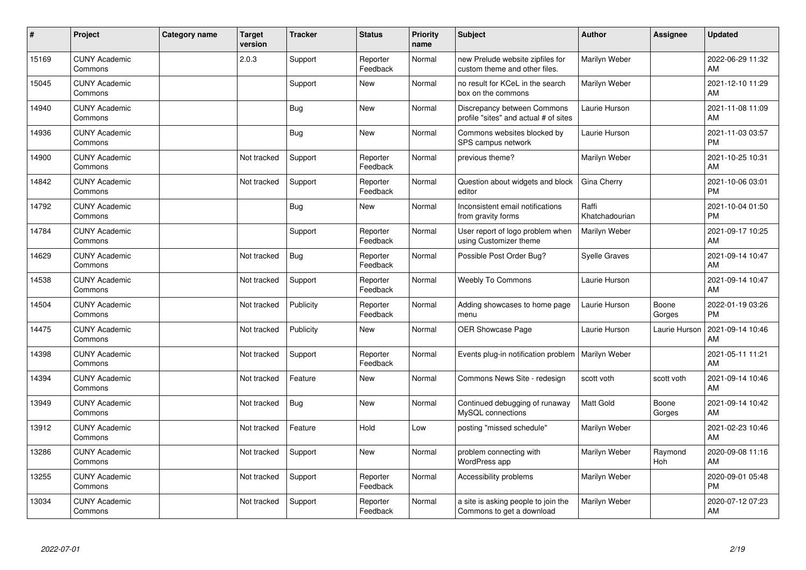| ∦     | Project                         | <b>Category name</b> | <b>Target</b><br>version | <b>Tracker</b> | <b>Status</b>        | <b>Priority</b><br>name | <b>Subject</b>                                                       | Author                  | Assignee        | <b>Updated</b>                |
|-------|---------------------------------|----------------------|--------------------------|----------------|----------------------|-------------------------|----------------------------------------------------------------------|-------------------------|-----------------|-------------------------------|
| 15169 | <b>CUNY Academic</b><br>Commons |                      | 2.0.3                    | Support        | Reporter<br>Feedback | Normal                  | new Prelude website zipfiles for<br>custom theme and other files.    | Marilyn Weber           |                 | 2022-06-29 11:32<br>AM        |
| 15045 | <b>CUNY Academic</b><br>Commons |                      |                          | Support        | <b>New</b>           | Normal                  | no result for KCeL in the search<br>box on the commons               | Marilyn Weber           |                 | 2021-12-10 11:29<br>AM        |
| 14940 | <b>CUNY Academic</b><br>Commons |                      |                          | <b>Bug</b>     | <b>New</b>           | Normal                  | Discrepancy between Commons<br>profile "sites" and actual # of sites | Laurie Hurson           |                 | 2021-11-08 11:09<br>AM        |
| 14936 | <b>CUNY Academic</b><br>Commons |                      |                          | Bug            | <b>New</b>           | Normal                  | Commons websites blocked by<br>SPS campus network                    | Laurie Hurson           |                 | 2021-11-03 03:57<br><b>PM</b> |
| 14900 | <b>CUNY Academic</b><br>Commons |                      | Not tracked              | Support        | Reporter<br>Feedback | Normal                  | previous theme?                                                      | Marilyn Weber           |                 | 2021-10-25 10:31<br>AM        |
| 14842 | <b>CUNY Academic</b><br>Commons |                      | Not tracked              | Support        | Reporter<br>Feedback | Normal                  | Question about widgets and block<br>editor                           | Gina Cherry             |                 | 2021-10-06 03:01<br><b>PM</b> |
| 14792 | <b>CUNY Academic</b><br>Commons |                      |                          | Bug            | <b>New</b>           | Normal                  | Inconsistent email notifications<br>from gravity forms               | Raffi<br>Khatchadourian |                 | 2021-10-04 01:50<br><b>PM</b> |
| 14784 | <b>CUNY Academic</b><br>Commons |                      |                          | Support        | Reporter<br>Feedback | Normal                  | User report of logo problem when<br>using Customizer theme           | Marilyn Weber           |                 | 2021-09-17 10:25<br>AM        |
| 14629 | <b>CUNY Academic</b><br>Commons |                      | Not tracked              | Bug            | Reporter<br>Feedback | Normal                  | Possible Post Order Bug?                                             | <b>Syelle Graves</b>    |                 | 2021-09-14 10:47<br>AM        |
| 14538 | <b>CUNY Academic</b><br>Commons |                      | Not tracked              | Support        | Reporter<br>Feedback | Normal                  | <b>Weebly To Commons</b>                                             | Laurie Hurson           |                 | 2021-09-14 10:47<br>AM        |
| 14504 | <b>CUNY Academic</b><br>Commons |                      | Not tracked              | Publicity      | Reporter<br>Feedback | Normal                  | Adding showcases to home page<br>menu                                | Laurie Hurson           | Boone<br>Gorges | 2022-01-19 03:26<br><b>PM</b> |
| 14475 | <b>CUNY Academic</b><br>Commons |                      | Not tracked              | Publicity      | <b>New</b>           | Normal                  | <b>OER Showcase Page</b>                                             | Laurie Hurson           | Laurie Hurson   | 2021-09-14 10:46<br>AM        |
| 14398 | <b>CUNY Academic</b><br>Commons |                      | Not tracked              | Support        | Reporter<br>Feedback | Normal                  | Events plug-in notification problem                                  | Marilyn Weber           |                 | 2021-05-11 11:21<br>AM        |
| 14394 | <b>CUNY Academic</b><br>Commons |                      | Not tracked              | Feature        | <b>New</b>           | Normal                  | Commons News Site - redesign                                         | scott voth              | scott voth      | 2021-09-14 10:46<br>AM        |
| 13949 | <b>CUNY Academic</b><br>Commons |                      | Not tracked              | Bug            | <b>New</b>           | Normal                  | Continued debugging of runaway<br>MySQL connections                  | <b>Matt Gold</b>        | Boone<br>Gorges | 2021-09-14 10:42<br>AM        |
| 13912 | <b>CUNY Academic</b><br>Commons |                      | Not tracked              | Feature        | Hold                 | Low                     | posting "missed schedule"                                            | Marilyn Weber           |                 | 2021-02-23 10:46<br>AM        |
| 13286 | <b>CUNY Academic</b><br>Commons |                      | Not tracked              | Support        | <b>New</b>           | Normal                  | problem connecting with<br>WordPress app                             | Marilyn Weber           | Raymond<br>Hoh  | 2020-09-08 11:16<br>AM        |
| 13255 | <b>CUNY Academic</b><br>Commons |                      | Not tracked              | Support        | Reporter<br>Feedback | Normal                  | Accessibility problems                                               | Marilyn Weber           |                 | 2020-09-01 05:48<br><b>PM</b> |
| 13034 | <b>CUNY Academic</b><br>Commons |                      | Not tracked              | Support        | Reporter<br>Feedback | Normal                  | a site is asking people to join the<br>Commons to get a download     | Marilyn Weber           |                 | 2020-07-12 07:23<br>AM        |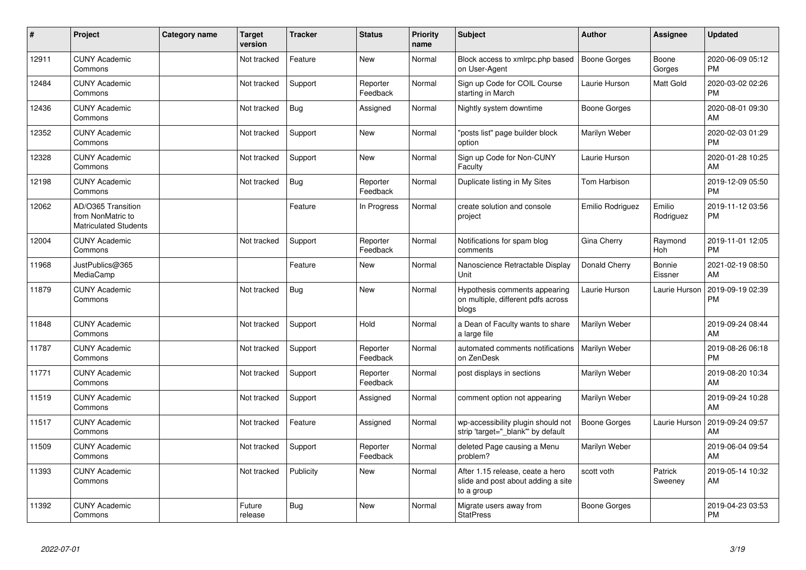| #     | Project                                                                 | <b>Category name</b> | Target<br>version | <b>Tracker</b> | <b>Status</b>        | <b>Priority</b><br>name | <b>Subject</b>                                                                       | Author              | <b>Assignee</b>     | <b>Updated</b>                |
|-------|-------------------------------------------------------------------------|----------------------|-------------------|----------------|----------------------|-------------------------|--------------------------------------------------------------------------------------|---------------------|---------------------|-------------------------------|
| 12911 | <b>CUNY Academic</b><br>Commons                                         |                      | Not tracked       | Feature        | <b>New</b>           | Normal                  | Block access to xmlrpc.php based<br>on User-Agent                                    | Boone Gorges        | Boone<br>Gorges     | 2020-06-09 05:12<br><b>PM</b> |
| 12484 | <b>CUNY Academic</b><br>Commons                                         |                      | Not tracked       | Support        | Reporter<br>Feedback | Normal                  | Sign up Code for COIL Course<br>starting in March                                    | Laurie Hurson       | Matt Gold           | 2020-03-02 02:26<br><b>PM</b> |
| 12436 | <b>CUNY Academic</b><br>Commons                                         |                      | Not tracked       | <b>Bug</b>     | Assigned             | Normal                  | Nightly system downtime                                                              | Boone Gorges        |                     | 2020-08-01 09:30<br>AM        |
| 12352 | <b>CUNY Academic</b><br>Commons                                         |                      | Not tracked       | Support        | <b>New</b>           | Normal                  | 'posts list" page builder block<br>option                                            | Marilyn Weber       |                     | 2020-02-03 01:29<br><b>PM</b> |
| 12328 | <b>CUNY Academic</b><br>Commons                                         |                      | Not tracked       | Support        | <b>New</b>           | Normal                  | Sign up Code for Non-CUNY<br>Faculty                                                 | Laurie Hurson       |                     | 2020-01-28 10:25<br>AM        |
| 12198 | <b>CUNY Academic</b><br>Commons                                         |                      | Not tracked       | <b>Bug</b>     | Reporter<br>Feedback | Normal                  | Duplicate listing in My Sites                                                        | Tom Harbison        |                     | 2019-12-09 05:50<br><b>PM</b> |
| 12062 | AD/O365 Transition<br>from NonMatric to<br><b>Matriculated Students</b> |                      |                   | Feature        | In Progress          | Normal                  | create solution and console<br>project                                               | Emilio Rodriguez    | Emilio<br>Rodriguez | 2019-11-12 03:56<br><b>PM</b> |
| 12004 | <b>CUNY Academic</b><br>Commons                                         |                      | Not tracked       | Support        | Reporter<br>Feedback | Normal                  | Notifications for spam blog<br>comments                                              | Gina Cherry         | Raymond<br>Hoh      | 2019-11-01 12:05<br><b>PM</b> |
| 11968 | JustPublics@365<br>MediaCamp                                            |                      |                   | Feature        | <b>New</b>           | Normal                  | Nanoscience Retractable Display<br>Unit                                              | Donald Cherry       | Bonnie<br>Eissner   | 2021-02-19 08:50<br>AM        |
| 11879 | <b>CUNY Academic</b><br>Commons                                         |                      | Not tracked       | Bug            | <b>New</b>           | Normal                  | Hypothesis comments appearing<br>on multiple, different pdfs across<br>blogs         | Laurie Hurson       | Laurie Hurson       | 2019-09-19 02:39<br><b>PM</b> |
| 11848 | <b>CUNY Academic</b><br>Commons                                         |                      | Not tracked       | Support        | Hold                 | Normal                  | a Dean of Faculty wants to share<br>a large file                                     | Marilyn Weber       |                     | 2019-09-24 08:44<br>AM        |
| 11787 | <b>CUNY Academic</b><br>Commons                                         |                      | Not tracked       | Support        | Reporter<br>Feedback | Normal                  | automated comments notifications<br>on ZenDesk                                       | Marilyn Weber       |                     | 2019-08-26 06:18<br><b>PM</b> |
| 11771 | <b>CUNY Academic</b><br>Commons                                         |                      | Not tracked       | Support        | Reporter<br>Feedback | Normal                  | post displays in sections                                                            | Marilyn Weber       |                     | 2019-08-20 10:34<br>AM        |
| 11519 | <b>CUNY Academic</b><br>Commons                                         |                      | Not tracked       | Support        | Assigned             | Normal                  | comment option not appearing                                                         | Marilyn Weber       |                     | 2019-09-24 10:28<br>AM        |
| 11517 | <b>CUNY Academic</b><br>Commons                                         |                      | Not tracked       | Feature        | Assigned             | Normal                  | wp-accessibility plugin should not<br>strip 'target=" blank" by default              | <b>Boone Gorges</b> | Laurie Hurson       | 2019-09-24 09:57<br>AM        |
| 11509 | <b>CUNY Academic</b><br>Commons                                         |                      | Not tracked       | Support        | Reporter<br>Feedback | Normal                  | deleted Page causing a Menu<br>problem?                                              | Marilyn Weber       |                     | 2019-06-04 09:54<br>AM        |
| 11393 | <b>CUNY Academic</b><br>Commons                                         |                      | Not tracked       | Publicity      | <b>New</b>           | Normal                  | After 1.15 release, ceate a hero<br>slide and post about adding a site<br>to a group | scott voth          | Patrick<br>Sweeney  | 2019-05-14 10:32<br>AM        |
| 11392 | <b>CUNY Academic</b><br>Commons                                         |                      | Future<br>release | <b>Bug</b>     | <b>New</b>           | Normal                  | Migrate users away from<br><b>StatPress</b>                                          | Boone Gorges        |                     | 2019-04-23 03:53<br><b>PM</b> |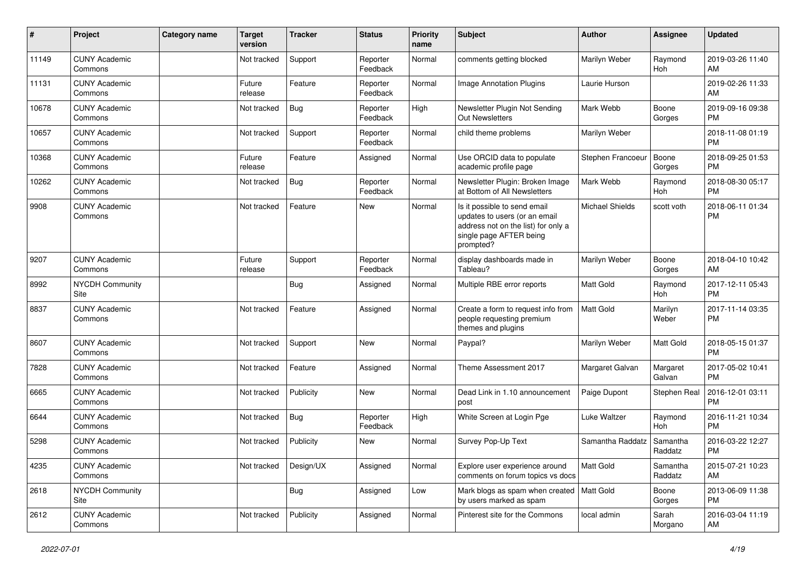| #     | Project                         | <b>Category name</b> | <b>Target</b><br>version | <b>Tracker</b> | <b>Status</b>        | <b>Priority</b><br>name | Subject                                                                                                                                      | <b>Author</b>     | <b>Assignee</b>     | <b>Updated</b>                |
|-------|---------------------------------|----------------------|--------------------------|----------------|----------------------|-------------------------|----------------------------------------------------------------------------------------------------------------------------------------------|-------------------|---------------------|-------------------------------|
| 11149 | <b>CUNY Academic</b><br>Commons |                      | Not tracked              | Support        | Reporter<br>Feedback | Normal                  | comments getting blocked                                                                                                                     | Marilyn Weber     | Raymond<br>Hoh      | 2019-03-26 11:40<br>AM        |
| 11131 | <b>CUNY Academic</b><br>Commons |                      | Future<br>release        | Feature        | Reporter<br>Feedback | Normal                  | <b>Image Annotation Plugins</b>                                                                                                              | Laurie Hurson     |                     | 2019-02-26 11:33<br>AM        |
| 10678 | <b>CUNY Academic</b><br>Commons |                      | Not tracked              | Bug            | Reporter<br>Feedback | High                    | Newsletter Plugin Not Sending<br><b>Out Newsletters</b>                                                                                      | Mark Webb         | Boone<br>Gorges     | 2019-09-16 09:38<br><b>PM</b> |
| 10657 | <b>CUNY Academic</b><br>Commons |                      | Not tracked              | Support        | Reporter<br>Feedback | Normal                  | child theme problems                                                                                                                         | Marilyn Weber     |                     | 2018-11-08 01:19<br><b>PM</b> |
| 10368 | <b>CUNY Academic</b><br>Commons |                      | Future<br>release        | Feature        | Assigned             | Normal                  | Use ORCID data to populate<br>academic profile page                                                                                          | Stephen Francoeur | Boone<br>Gorges     | 2018-09-25 01:53<br><b>PM</b> |
| 10262 | <b>CUNY Academic</b><br>Commons |                      | Not tracked              | Bug            | Reporter<br>Feedback | Normal                  | Newsletter Plugin: Broken Image<br>at Bottom of All Newsletters                                                                              | Mark Webb         | Raymond<br>Hoh      | 2018-08-30 05:17<br><b>PM</b> |
| 9908  | <b>CUNY Academic</b><br>Commons |                      | Not tracked              | Feature        | New                  | Normal                  | Is it possible to send email<br>updates to users (or an email<br>address not on the list) for only a<br>single page AFTER being<br>prompted? | Michael Shields   | scott voth          | 2018-06-11 01:34<br><b>PM</b> |
| 9207  | <b>CUNY Academic</b><br>Commons |                      | Future<br>release        | Support        | Reporter<br>Feedback | Normal                  | display dashboards made in<br>Tableau?                                                                                                       | Marilyn Weber     | Boone<br>Gorges     | 2018-04-10 10:42<br>AM        |
| 8992  | <b>NYCDH Community</b><br>Site  |                      |                          | Bug            | Assigned             | Normal                  | Multiple RBE error reports                                                                                                                   | <b>Matt Gold</b>  | Raymond<br>Hoh      | 2017-12-11 05:43<br><b>PM</b> |
| 8837  | <b>CUNY Academic</b><br>Commons |                      | Not tracked              | Feature        | Assigned             | Normal                  | Create a form to request info from<br>people requesting premium<br>themes and plugins                                                        | <b>Matt Gold</b>  | Marilyn<br>Weber    | 2017-11-14 03:35<br><b>PM</b> |
| 8607  | <b>CUNY Academic</b><br>Commons |                      | Not tracked              | Support        | <b>New</b>           | Normal                  | Paypal?                                                                                                                                      | Marilyn Weber     | Matt Gold           | 2018-05-15 01:37<br><b>PM</b> |
| 7828  | <b>CUNY Academic</b><br>Commons |                      | Not tracked              | Feature        | Assigned             | Normal                  | Theme Assessment 2017                                                                                                                        | Margaret Galvan   | Margaret<br>Galvan  | 2017-05-02 10:41<br><b>PM</b> |
| 6665  | <b>CUNY Academic</b><br>Commons |                      | Not tracked              | Publicity      | <b>New</b>           | Normal                  | Dead Link in 1.10 announcement<br>post                                                                                                       | Paige Dupont      | Stephen Real        | 2016-12-01 03:11<br><b>PM</b> |
| 6644  | <b>CUNY Academic</b><br>Commons |                      | Not tracked              | <b>Bug</b>     | Reporter<br>Feedback | High                    | White Screen at Login Pge                                                                                                                    | Luke Waltzer      | Raymond<br>Hoh      | 2016-11-21 10:34<br><b>PM</b> |
| 5298  | <b>CUNY Academic</b><br>Commons |                      | Not tracked              | Publicity      | New                  | Normal                  | Survey Pop-Up Text                                                                                                                           | Samantha Raddatz  | Samantha<br>Raddatz | 2016-03-22 12:27<br><b>PM</b> |
| 4235  | <b>CUNY Academic</b><br>Commons |                      | Not tracked              | Design/UX      | Assigned             | Normal                  | Explore user experience around<br>comments on forum topics vs docs                                                                           | Matt Gold         | Samantha<br>Raddatz | 2015-07-21 10:23<br>AM        |
| 2618  | NYCDH Community<br>Site         |                      |                          | <b>Bug</b>     | Assigned             | Low                     | Mark blogs as spam when created   Matt Gold<br>by users marked as spam                                                                       |                   | Boone<br>Gorges     | 2013-06-09 11:38<br><b>PM</b> |
| 2612  | <b>CUNY Academic</b><br>Commons |                      | Not tracked              | Publicity      | Assigned             | Normal                  | Pinterest site for the Commons                                                                                                               | local admin       | Sarah<br>Morgano    | 2016-03-04 11:19<br>AM        |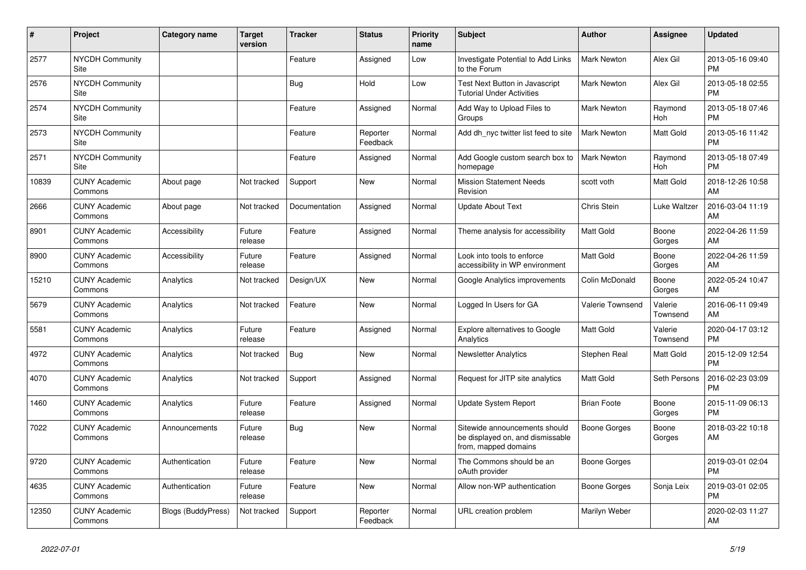| $\pmb{\sharp}$ | <b>Project</b>                  | Category name             | <b>Target</b><br>version | <b>Tracker</b> | <b>Status</b>        | <b>Priority</b><br>name | <b>Subject</b>                                                                            | <b>Author</b>       | Assignee            | <b>Updated</b>                |
|----------------|---------------------------------|---------------------------|--------------------------|----------------|----------------------|-------------------------|-------------------------------------------------------------------------------------------|---------------------|---------------------|-------------------------------|
| 2577           | <b>NYCDH Community</b><br>Site  |                           |                          | Feature        | Assigned             | Low                     | Investigate Potential to Add Links<br>to the Forum                                        | Mark Newton         | Alex Gil            | 2013-05-16 09:40<br><b>PM</b> |
| 2576           | <b>NYCDH Community</b><br>Site  |                           |                          | Bug            | Hold                 | Low                     | Test Next Button in Javascript<br><b>Tutorial Under Activities</b>                        | <b>Mark Newton</b>  | Alex Gil            | 2013-05-18 02:55<br><b>PM</b> |
| 2574           | <b>NYCDH Community</b><br>Site  |                           |                          | Feature        | Assigned             | Normal                  | Add Way to Upload Files to<br>Groups                                                      | Mark Newton         | Raymond<br>Hoh      | 2013-05-18 07:46<br><b>PM</b> |
| 2573           | <b>NYCDH Community</b><br>Site  |                           |                          | Feature        | Reporter<br>Feedback | Normal                  | Add dh nyc twitter list feed to site                                                      | <b>Mark Newton</b>  | Matt Gold           | 2013-05-16 11:42<br><b>PM</b> |
| 2571           | <b>NYCDH Community</b><br>Site  |                           |                          | Feature        | Assigned             | Normal                  | Add Google custom search box to<br>homepage                                               | <b>Mark Newton</b>  | Raymond<br>Hoh      | 2013-05-18 07:49<br><b>PM</b> |
| 10839          | <b>CUNY Academic</b><br>Commons | About page                | Not tracked              | Support        | New                  | Normal                  | <b>Mission Statement Needs</b><br>Revision                                                | scott voth          | Matt Gold           | 2018-12-26 10:58<br>AM        |
| 2666           | <b>CUNY Academic</b><br>Commons | About page                | Not tracked              | Documentation  | Assigned             | Normal                  | <b>Update About Text</b>                                                                  | Chris Stein         | Luke Waltzer        | 2016-03-04 11:19<br>AM        |
| 8901           | <b>CUNY Academic</b><br>Commons | Accessibility             | Future<br>release        | Feature        | Assigned             | Normal                  | Theme analysis for accessibility                                                          | <b>Matt Gold</b>    | Boone<br>Gorges     | 2022-04-26 11:59<br>AM        |
| 8900           | <b>CUNY Academic</b><br>Commons | Accessibility             | Future<br>release        | Feature        | Assigned             | Normal                  | Look into tools to enforce<br>accessibility in WP environment                             | <b>Matt Gold</b>    | Boone<br>Gorges     | 2022-04-26 11:59<br>AM        |
| 15210          | <b>CUNY Academic</b><br>Commons | Analytics                 | Not tracked              | Design/UX      | New                  | Normal                  | Google Analytics improvements                                                             | Colin McDonald      | Boone<br>Gorges     | 2022-05-24 10:47<br>AM        |
| 5679           | <b>CUNY Academic</b><br>Commons | Analytics                 | Not tracked              | Feature        | <b>New</b>           | Normal                  | Logged In Users for GA                                                                    | Valerie Townsend    | Valerie<br>Townsend | 2016-06-11 09:49<br>AM        |
| 5581           | <b>CUNY Academic</b><br>Commons | Analytics                 | Future<br>release        | Feature        | Assigned             | Normal                  | Explore alternatives to Google<br>Analytics                                               | <b>Matt Gold</b>    | Valerie<br>Townsend | 2020-04-17 03:12<br><b>PM</b> |
| 4972           | <b>CUNY Academic</b><br>Commons | Analytics                 | Not tracked              | Bug            | New                  | Normal                  | <b>Newsletter Analytics</b>                                                               | Stephen Real        | Matt Gold           | 2015-12-09 12:54<br><b>PM</b> |
| 4070           | <b>CUNY Academic</b><br>Commons | Analytics                 | Not tracked              | Support        | Assigned             | Normal                  | Request for JITP site analytics                                                           | <b>Matt Gold</b>    | Seth Persons        | 2016-02-23 03:09<br><b>PM</b> |
| 1460           | <b>CUNY Academic</b><br>Commons | Analytics                 | Future<br>release        | Feature        | Assigned             | Normal                  | <b>Update System Report</b>                                                               | <b>Brian Foote</b>  | Boone<br>Gorges     | 2015-11-09 06:13<br><b>PM</b> |
| 7022           | <b>CUNY Academic</b><br>Commons | Announcements             | Future<br>release        | Bug            | New                  | Normal                  | Sitewide announcements should<br>be displayed on, and dismissable<br>from, mapped domains | <b>Boone Gorges</b> | Boone<br>Gorges     | 2018-03-22 10:18<br>AM        |
| 9720           | <b>CUNY Academic</b><br>Commons | Authentication            | Future<br>release        | Feature        | <b>New</b>           | Normal                  | The Commons should be an<br>oAuth provider                                                | Boone Gorges        |                     | 2019-03-01 02:04<br><b>PM</b> |
| 4635           | <b>CUNY Academic</b><br>Commons | Authentication            | Future<br>release        | Feature        | New                  | Normal                  | Allow non-WP authentication                                                               | Boone Gorges        | Sonja Leix          | 2019-03-01 02:05<br><b>PM</b> |
| 12350          | <b>CUNY Academic</b><br>Commons | <b>Blogs (BuddyPress)</b> | Not tracked              | Support        | Reporter<br>Feedback | Normal                  | URL creation problem                                                                      | Marilyn Weber       |                     | 2020-02-03 11:27<br>AM        |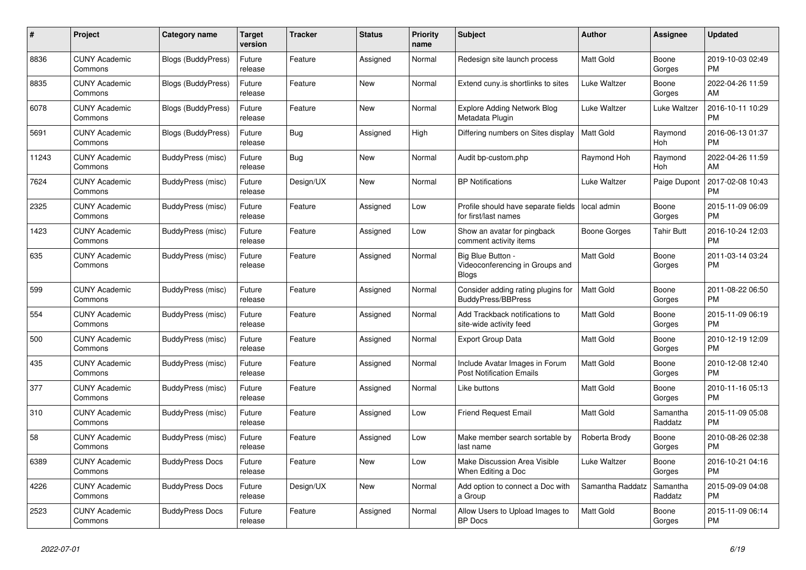| #     | Project                         | <b>Category name</b>      | <b>Target</b><br>version | <b>Tracker</b> | <b>Status</b> | Priority<br>name | <b>Subject</b>                                                       | <b>Author</b>    | <b>Assignee</b>     | <b>Updated</b>                |
|-------|---------------------------------|---------------------------|--------------------------|----------------|---------------|------------------|----------------------------------------------------------------------|------------------|---------------------|-------------------------------|
| 8836  | <b>CUNY Academic</b><br>Commons | <b>Blogs (BuddyPress)</b> | Future<br>release        | Feature        | Assigned      | Normal           | Redesign site launch process                                         | Matt Gold        | Boone<br>Gorges     | 2019-10-03 02:49<br><b>PM</b> |
| 8835  | <b>CUNY Academic</b><br>Commons | <b>Blogs (BuddyPress)</b> | Future<br>release        | Feature        | New           | Normal           | Extend cuny is shortlinks to sites                                   | Luke Waltzer     | Boone<br>Gorges     | 2022-04-26 11:59<br>AM        |
| 6078  | <b>CUNY Academic</b><br>Commons | <b>Blogs (BuddyPress)</b> | Future<br>release        | Feature        | <b>New</b>    | Normal           | Explore Adding Network Blog<br>Metadata Plugin                       | Luke Waltzer     | Luke Waltzer        | 2016-10-11 10:29<br><b>PM</b> |
| 5691  | <b>CUNY Academic</b><br>Commons | <b>Blogs (BuddyPress)</b> | Future<br>release        | Bug            | Assigned      | High             | Differing numbers on Sites display                                   | <b>Matt Gold</b> | Raymond<br>Hoh      | 2016-06-13 01:37<br><b>PM</b> |
| 11243 | <b>CUNY Academic</b><br>Commons | BuddyPress (misc)         | Future<br>release        | Bug            | New           | Normal           | Audit bp-custom.php                                                  | Raymond Hoh      | Raymond<br>Hoh      | 2022-04-26 11:59<br>AM        |
| 7624  | <b>CUNY Academic</b><br>Commons | BuddyPress (misc)         | Future<br>release        | Design/UX      | New           | Normal           | <b>BP Notifications</b>                                              | Luke Waltzer     | Paige Dupont        | 2017-02-08 10:43<br><b>PM</b> |
| 2325  | <b>CUNY Academic</b><br>Commons | BuddyPress (misc)         | Future<br>release        | Feature        | Assigned      | Low              | Profile should have separate fields<br>for first/last names          | local admin      | Boone<br>Gorges     | 2015-11-09 06:09<br><b>PM</b> |
| 1423  | <b>CUNY Academic</b><br>Commons | BuddyPress (misc)         | Future<br>release        | Feature        | Assigned      | Low              | Show an avatar for pingback<br>comment activity items                | Boone Gorges     | <b>Tahir Butt</b>   | 2016-10-24 12:03<br><b>PM</b> |
| 635   | <b>CUNY Academic</b><br>Commons | BuddyPress (misc)         | Future<br>release        | Feature        | Assigned      | Normal           | Big Blue Button -<br>Videoconferencing in Groups and<br><b>Blogs</b> | Matt Gold        | Boone<br>Gorges     | 2011-03-14 03:24<br><b>PM</b> |
| 599   | <b>CUNY Academic</b><br>Commons | BuddyPress (misc)         | Future<br>release        | Feature        | Assigned      | Normal           | Consider adding rating plugins for<br><b>BuddyPress/BBPress</b>      | <b>Matt Gold</b> | Boone<br>Gorges     | 2011-08-22 06:50<br><b>PM</b> |
| 554   | <b>CUNY Academic</b><br>Commons | <b>BuddyPress (misc)</b>  | Future<br>release        | Feature        | Assigned      | Normal           | Add Trackback notifications to<br>site-wide activity feed            | Matt Gold        | Boone<br>Gorges     | 2015-11-09 06:19<br><b>PM</b> |
| 500   | <b>CUNY Academic</b><br>Commons | BuddyPress (misc)         | Future<br>release        | Feature        | Assigned      | Normal           | <b>Export Group Data</b>                                             | <b>Matt Gold</b> | Boone<br>Gorges     | 2010-12-19 12:09<br><b>PM</b> |
| 435   | <b>CUNY Academic</b><br>Commons | BuddyPress (misc)         | Future<br>release        | Feature        | Assigned      | Normal           | Include Avatar Images in Forum<br><b>Post Notification Emails</b>    | Matt Gold        | Boone<br>Gorges     | 2010-12-08 12:40<br><b>PM</b> |
| 377   | <b>CUNY Academic</b><br>Commons | BuddyPress (misc)         | Future<br>release        | Feature        | Assigned      | Normal           | Like buttons                                                         | Matt Gold        | Boone<br>Gorges     | 2010-11-16 05:13<br><b>PM</b> |
| 310   | <b>CUNY Academic</b><br>Commons | BuddyPress (misc)         | Future<br>release        | Feature        | Assigned      | Low              | <b>Friend Request Email</b>                                          | Matt Gold        | Samantha<br>Raddatz | 2015-11-09 05:08<br><b>PM</b> |
| 58    | <b>CUNY Academic</b><br>Commons | BuddyPress (misc)         | Future<br>release        | Feature        | Assigned      | Low              | Make member search sortable by<br>last name                          | Roberta Brody    | Boone<br>Gorges     | 2010-08-26 02:38<br><b>PM</b> |
| 6389  | <b>CUNY Academic</b><br>Commons | <b>BuddyPress Docs</b>    | Future<br>release        | Feature        | <b>New</b>    | Low              | <b>Make Discussion Area Visible</b><br>When Editing a Doc            | Luke Waltzer     | Boone<br>Gorges     | 2016-10-21 04:16<br><b>PM</b> |
| 4226  | <b>CUNY Academic</b><br>Commons | <b>BuddyPress Docs</b>    | Future<br>release        | Design/UX      | New           | Normal           | Add option to connect a Doc with<br>a Group                          | Samantha Raddatz | Samantha<br>Raddatz | 2015-09-09 04:08<br><b>PM</b> |
| 2523  | <b>CUNY Academic</b><br>Commons | <b>BuddyPress Docs</b>    | Future<br>release        | Feature        | Assigned      | Normal           | Allow Users to Upload Images to<br><b>BP</b> Docs                    | <b>Matt Gold</b> | Boone<br>Gorges     | 2015-11-09 06:14<br><b>PM</b> |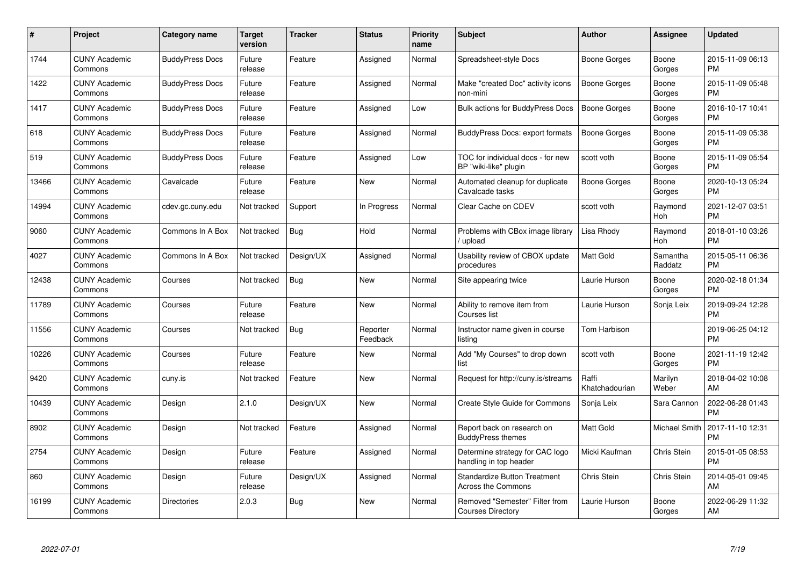| $\#$  | Project                         | <b>Category name</b>   | <b>Target</b><br>version | <b>Tracker</b> | <b>Status</b>        | Priority<br>name | <b>Subject</b>                                                   | <b>Author</b>           | <b>Assignee</b>     | <b>Updated</b>                |
|-------|---------------------------------|------------------------|--------------------------|----------------|----------------------|------------------|------------------------------------------------------------------|-------------------------|---------------------|-------------------------------|
| 1744  | <b>CUNY Academic</b><br>Commons | <b>BuddyPress Docs</b> | Future<br>release        | Feature        | Assigned             | Normal           | Spreadsheet-style Docs                                           | Boone Gorges            | Boone<br>Gorges     | 2015-11-09 06:13<br><b>PM</b> |
| 1422  | <b>CUNY Academic</b><br>Commons | <b>BuddyPress Docs</b> | Future<br>release        | Feature        | Assigned             | Normal           | Make "created Doc" activity icons<br>non-mini                    | Boone Gorges            | Boone<br>Gorges     | 2015-11-09 05:48<br><b>PM</b> |
| 1417  | <b>CUNY Academic</b><br>Commons | <b>BuddyPress Docs</b> | Future<br>release        | Feature        | Assigned             | Low              | <b>Bulk actions for BuddyPress Docs</b>                          | <b>Boone Gorges</b>     | Boone<br>Gorges     | 2016-10-17 10:41<br><b>PM</b> |
| 618   | <b>CUNY Academic</b><br>Commons | <b>BuddyPress Docs</b> | Future<br>release        | Feature        | Assigned             | Normal           | <b>BuddyPress Docs: export formats</b>                           | Boone Gorges            | Boone<br>Gorges     | 2015-11-09 05:38<br><b>PM</b> |
| 519   | <b>CUNY Academic</b><br>Commons | <b>BuddyPress Docs</b> | Future<br>release        | Feature        | Assigned             | Low              | TOC for individual docs - for new<br>BP "wiki-like" plugin       | scott voth              | Boone<br>Gorges     | 2015-11-09 05:54<br><b>PM</b> |
| 13466 | <b>CUNY Academic</b><br>Commons | Cavalcade              | Future<br>release        | Feature        | <b>New</b>           | Normal           | Automated cleanup for duplicate<br>Cavalcade tasks               | Boone Gorges            | Boone<br>Gorges     | 2020-10-13 05:24<br><b>PM</b> |
| 14994 | <b>CUNY Academic</b><br>Commons | cdev.gc.cuny.edu       | Not tracked              | Support        | In Progress          | Normal           | Clear Cache on CDEV                                              | scott voth              | Raymond<br>Hoh      | 2021-12-07 03:51<br><b>PM</b> |
| 9060  | <b>CUNY Academic</b><br>Commons | Commons In A Box       | Not tracked              | Bug            | Hold                 | Normal           | Problems with CBox image library<br>/ upload                     | Lisa Rhody              | Raymond<br>Hoh      | 2018-01-10 03:26<br><b>PM</b> |
| 4027  | <b>CUNY Academic</b><br>Commons | Commons In A Box       | Not tracked              | Design/UX      | Assigned             | Normal           | Usability review of CBOX update<br>procedures                    | Matt Gold               | Samantha<br>Raddatz | 2015-05-11 06:36<br><b>PM</b> |
| 12438 | <b>CUNY Academic</b><br>Commons | Courses                | Not tracked              | Bug            | <b>New</b>           | Normal           | Site appearing twice                                             | Laurie Hurson           | Boone<br>Gorges     | 2020-02-18 01:34<br><b>PM</b> |
| 11789 | <b>CUNY Academic</b><br>Commons | Courses                | Future<br>release        | Feature        | <b>New</b>           | Normal           | Ability to remove item from<br>Courses list                      | Laurie Hurson           | Sonja Leix          | 2019-09-24 12:28<br><b>PM</b> |
| 11556 | <b>CUNY Academic</b><br>Commons | Courses                | Not tracked              | Bug            | Reporter<br>Feedback | Normal           | Instructor name given in course<br>listing                       | Tom Harbison            |                     | 2019-06-25 04:12<br><b>PM</b> |
| 10226 | <b>CUNY Academic</b><br>Commons | Courses                | Future<br>release        | Feature        | <b>New</b>           | Normal           | Add "My Courses" to drop down<br>list                            | scott voth              | Boone<br>Gorges     | 2021-11-19 12:42<br><b>PM</b> |
| 9420  | <b>CUNY Academic</b><br>Commons | cuny.is                | Not tracked              | Feature        | <b>New</b>           | Normal           | Request for http://cuny.is/streams                               | Raffi<br>Khatchadourian | Marilyn<br>Weber    | 2018-04-02 10:08<br>AM        |
| 10439 | <b>CUNY Academic</b><br>Commons | Design                 | 2.1.0                    | Design/UX      | <b>New</b>           | Normal           | Create Style Guide for Commons                                   | Sonja Leix              | Sara Cannon         | 2022-06-28 01:43<br><b>PM</b> |
| 8902  | <b>CUNY Academic</b><br>Commons | Design                 | Not tracked              | Feature        | Assigned             | Normal           | Report back on research on<br><b>BuddyPress themes</b>           | Matt Gold               | Michael Smith       | 2017-11-10 12:31<br><b>PM</b> |
| 2754  | <b>CUNY Academic</b><br>Commons | Design                 | Future<br>release        | Feature        | Assigned             | Normal           | Determine strategy for CAC logo<br>handling in top header        | Micki Kaufman           | Chris Stein         | 2015-01-05 08:53<br><b>PM</b> |
| 860   | <b>CUNY Academic</b><br>Commons | Design                 | Future<br>release        | Design/UX      | Assigned             | Normal           | <b>Standardize Button Treatment</b><br><b>Across the Commons</b> | Chris Stein             | Chris Stein         | 2014-05-01 09:45<br>AM        |
| 16199 | <b>CUNY Academic</b><br>Commons | <b>Directories</b>     | 2.0.3                    | Bug            | New                  | Normal           | Removed "Semester" Filter from<br><b>Courses Directory</b>       | Laurie Hurson           | Boone<br>Gorges     | 2022-06-29 11:32<br>AM        |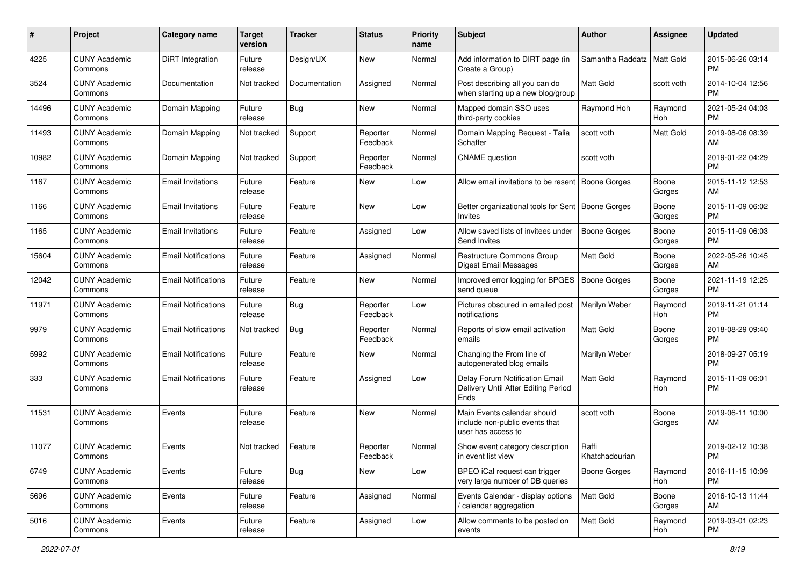| #     | Project                         | <b>Category name</b>       | <b>Target</b><br>version | <b>Tracker</b> | <b>Status</b>        | <b>Priority</b><br>name | <b>Subject</b>                                                                      | Author                  | Assignee         | <b>Updated</b>                |
|-------|---------------------------------|----------------------------|--------------------------|----------------|----------------------|-------------------------|-------------------------------------------------------------------------------------|-------------------------|------------------|-------------------------------|
| 4225  | <b>CUNY Academic</b><br>Commons | DiRT Integration           | Future<br>release        | Design/UX      | New                  | Normal                  | Add information to DIRT page (in<br>Create a Group)                                 | Samantha Raddatz        | <b>Matt Gold</b> | 2015-06-26 03:14<br><b>PM</b> |
| 3524  | <b>CUNY Academic</b><br>Commons | Documentation              | Not tracked              | Documentation  | Assigned             | Normal                  | Post describing all you can do<br>when starting up a new blog/group                 | <b>Matt Gold</b>        | scott voth       | 2014-10-04 12:56<br><b>PM</b> |
| 14496 | <b>CUNY Academic</b><br>Commons | Domain Mapping             | Future<br>release        | Bug            | New                  | Normal                  | Mapped domain SSO uses<br>third-party cookies                                       | Raymond Hoh             | Raymond<br>Hoh   | 2021-05-24 04:03<br><b>PM</b> |
| 11493 | <b>CUNY Academic</b><br>Commons | Domain Mapping             | Not tracked              | Support        | Reporter<br>Feedback | Normal                  | Domain Mapping Request - Talia<br>Schaffer                                          | scott voth              | <b>Matt Gold</b> | 2019-08-06 08:39<br>AM        |
| 10982 | <b>CUNY Academic</b><br>Commons | Domain Mapping             | Not tracked              | Support        | Reporter<br>Feedback | Normal                  | <b>CNAME</b> question                                                               | scott voth              |                  | 2019-01-22 04:29<br><b>PM</b> |
| 1167  | <b>CUNY Academic</b><br>Commons | <b>Email Invitations</b>   | Future<br>release        | Feature        | New                  | Low                     | Allow email invitations to be resent                                                | Boone Gorges            | Boone<br>Gorges  | 2015-11-12 12:53<br>AM        |
| 1166  | <b>CUNY Academic</b><br>Commons | <b>Email Invitations</b>   | Future<br>release        | Feature        | New                  | Low                     | Better organizational tools for Sent<br>Invites                                     | Boone Gorges            | Boone<br>Gorges  | 2015-11-09 06:02<br><b>PM</b> |
| 1165  | <b>CUNY Academic</b><br>Commons | <b>Email Invitations</b>   | Future<br>release        | Feature        | Assigned             | Low                     | Allow saved lists of invitees under<br>Send Invites                                 | <b>Boone Gorges</b>     | Boone<br>Gorges  | 2015-11-09 06:03<br>PM        |
| 15604 | <b>CUNY Academic</b><br>Commons | <b>Email Notifications</b> | Future<br>release        | Feature        | Assigned             | Normal                  | Restructure Commons Group<br>Digest Email Messages                                  | <b>Matt Gold</b>        | Boone<br>Gorges  | 2022-05-26 10:45<br>AM        |
| 12042 | <b>CUNY Academic</b><br>Commons | <b>Email Notifications</b> | Future<br>release        | Feature        | New                  | Normal                  | Improved error logging for BPGES<br>send queue                                      | Boone Gorges            | Boone<br>Gorges  | 2021-11-19 12:25<br><b>PM</b> |
| 11971 | <b>CUNY Academic</b><br>Commons | <b>Email Notifications</b> | Future<br>release        | Bug            | Reporter<br>Feedback | Low                     | Pictures obscured in emailed post<br>notifications                                  | Marilyn Weber           | Raymond<br>Hoh   | 2019-11-21 01:14<br><b>PM</b> |
| 9979  | <b>CUNY Academic</b><br>Commons | <b>Email Notifications</b> | Not tracked              | Bug            | Reporter<br>Feedback | Normal                  | Reports of slow email activation<br>emails                                          | <b>Matt Gold</b>        | Boone<br>Gorges  | 2018-08-29 09:40<br><b>PM</b> |
| 5992  | <b>CUNY Academic</b><br>Commons | <b>Email Notifications</b> | Future<br>release        | Feature        | New                  | Normal                  | Changing the From line of<br>autogenerated blog emails                              | Marilyn Weber           |                  | 2018-09-27 05:19<br><b>PM</b> |
| 333   | <b>CUNY Academic</b><br>Commons | <b>Email Notifications</b> | Future<br>release        | Feature        | Assigned             | Low                     | Delay Forum Notification Email<br>Delivery Until After Editing Period<br>Ends       | <b>Matt Gold</b>        | Raymond<br>Hoh   | 2015-11-09 06:01<br><b>PM</b> |
| 11531 | <b>CUNY Academic</b><br>Commons | Events                     | Future<br>release        | Feature        | New                  | Normal                  | Main Events calendar should<br>include non-public events that<br>user has access to | scott voth              | Boone<br>Gorges  | 2019-06-11 10:00<br>AM        |
| 11077 | <b>CUNY Academic</b><br>Commons | Events                     | Not tracked              | Feature        | Reporter<br>Feedback | Normal                  | Show event category description<br>in event list view                               | Raffi<br>Khatchadourian |                  | 2019-02-12 10:38<br>PM        |
| 6749  | <b>CUNY Academic</b><br>Commons | Events                     | Future<br>release        | Bug            | New                  | Low                     | BPEO iCal request can trigger<br>very large number of DB queries                    | Boone Gorges            | Raymond<br>Hoh   | 2016-11-15 10:09<br><b>PM</b> |
| 5696  | <b>CUNY Academic</b><br>Commons | Events                     | Future<br>release        | Feature        | Assigned             | Normal                  | Events Calendar - display options<br>/ calendar aggregation                         | Matt Gold               | Boone<br>Gorges  | 2016-10-13 11:44<br>AM        |
| 5016  | <b>CUNY Academic</b><br>Commons | Events                     | Future<br>release        | Feature        | Assigned             | Low                     | Allow comments to be posted on<br>events                                            | Matt Gold               | Raymond<br>Hoh   | 2019-03-01 02:23<br><b>PM</b> |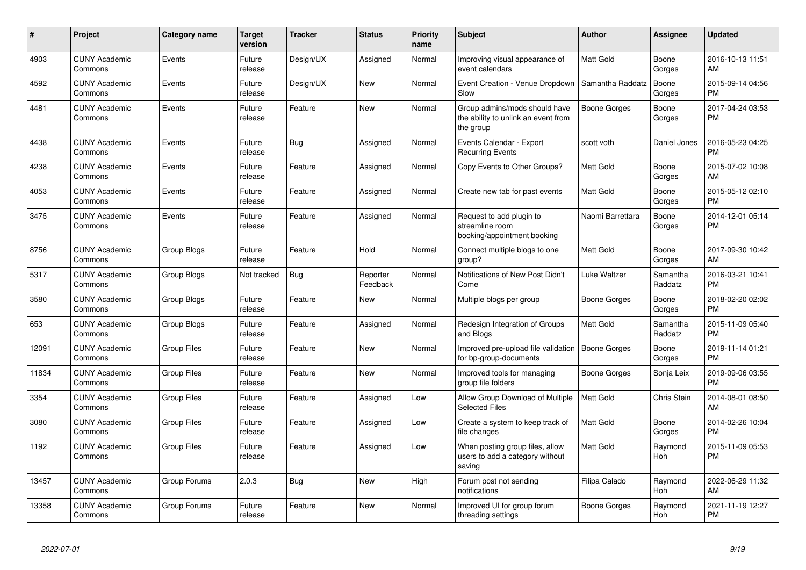| #     | Project                         | <b>Category name</b> | <b>Target</b><br>version | <b>Tracker</b> | <b>Status</b>        | <b>Priority</b><br>name | <b>Subject</b>                                                                    | <b>Author</b>    | Assignee            | <b>Updated</b>                |
|-------|---------------------------------|----------------------|--------------------------|----------------|----------------------|-------------------------|-----------------------------------------------------------------------------------|------------------|---------------------|-------------------------------|
| 4903  | <b>CUNY Academic</b><br>Commons | Events               | Future<br>release        | Design/UX      | Assigned             | Normal                  | Improving visual appearance of<br>event calendars                                 | Matt Gold        | Boone<br>Gorges     | 2016-10-13 11:51<br>AM        |
| 4592  | <b>CUNY Academic</b><br>Commons | Events               | Future<br>release        | Design/UX      | <b>New</b>           | Normal                  | Event Creation - Venue Dropdown<br>Slow                                           | Samantha Raddatz | Boone<br>Gorges     | 2015-09-14 04:56<br><b>PM</b> |
| 4481  | <b>CUNY Academic</b><br>Commons | Events               | Future<br>release        | Feature        | <b>New</b>           | Normal                  | Group admins/mods should have<br>the ability to unlink an event from<br>the group | Boone Gorges     | Boone<br>Gorges     | 2017-04-24 03:53<br><b>PM</b> |
| 4438  | <b>CUNY Academic</b><br>Commons | Events               | Future<br>release        | Bug            | Assigned             | Normal                  | Events Calendar - Export<br><b>Recurring Events</b>                               | scott voth       | Daniel Jones        | 2016-05-23 04:25<br><b>PM</b> |
| 4238  | <b>CUNY Academic</b><br>Commons | Events               | Future<br>release        | Feature        | Assigned             | Normal                  | Copy Events to Other Groups?                                                      | Matt Gold        | Boone<br>Gorges     | 2015-07-02 10:08<br>AM        |
| 4053  | <b>CUNY Academic</b><br>Commons | Events               | Future<br>release        | Feature        | Assigned             | Normal                  | Create new tab for past events                                                    | <b>Matt Gold</b> | Boone<br>Gorges     | 2015-05-12 02:10<br><b>PM</b> |
| 3475  | <b>CUNY Academic</b><br>Commons | Events               | Future<br>release        | Feature        | Assigned             | Normal                  | Request to add plugin to<br>streamline room<br>booking/appointment booking        | Naomi Barrettara | Boone<br>Gorges     | 2014-12-01 05:14<br><b>PM</b> |
| 8756  | <b>CUNY Academic</b><br>Commons | <b>Group Blogs</b>   | Future<br>release        | Feature        | Hold                 | Normal                  | Connect multiple blogs to one<br>group?                                           | <b>Matt Gold</b> | Boone<br>Gorges     | 2017-09-30 10:42<br>AM        |
| 5317  | <b>CUNY Academic</b><br>Commons | Group Blogs          | Not tracked              | Bug            | Reporter<br>Feedback | Normal                  | Notifications of New Post Didn't<br>Come                                          | Luke Waltzer     | Samantha<br>Raddatz | 2016-03-21 10:41<br><b>PM</b> |
| 3580  | <b>CUNY Academic</b><br>Commons | Group Blogs          | Future<br>release        | Feature        | New                  | Normal                  | Multiple blogs per group                                                          | Boone Gorges     | Boone<br>Gorges     | 2018-02-20 02:02<br><b>PM</b> |
| 653   | <b>CUNY Academic</b><br>Commons | Group Blogs          | Future<br>release        | Feature        | Assigned             | Normal                  | Redesign Integration of Groups<br>and Blogs                                       | <b>Matt Gold</b> | Samantha<br>Raddatz | 2015-11-09 05:40<br><b>PM</b> |
| 12091 | <b>CUNY Academic</b><br>Commons | <b>Group Files</b>   | Future<br>release        | Feature        | <b>New</b>           | Normal                  | Improved pre-upload file validation<br>for bp-group-documents                     | Boone Gorges     | Boone<br>Gorges     | 2019-11-14 01:21<br><b>PM</b> |
| 11834 | <b>CUNY Academic</b><br>Commons | <b>Group Files</b>   | Future<br>release        | Feature        | <b>New</b>           | Normal                  | Improved tools for managing<br>group file folders                                 | Boone Gorges     | Sonja Leix          | 2019-09-06 03:55<br><b>PM</b> |
| 3354  | <b>CUNY Academic</b><br>Commons | <b>Group Files</b>   | Future<br>release        | Feature        | Assigned             | Low                     | Allow Group Download of Multiple<br><b>Selected Files</b>                         | <b>Matt Gold</b> | Chris Stein         | 2014-08-01 08:50<br>AM        |
| 3080  | <b>CUNY Academic</b><br>Commons | <b>Group Files</b>   | Future<br>release        | Feature        | Assigned             | Low                     | Create a system to keep track of<br>file changes                                  | <b>Matt Gold</b> | Boone<br>Gorges     | 2014-02-26 10:04<br><b>PM</b> |
| 1192  | <b>CUNY Academic</b><br>Commons | Group Files          | Future<br>release        | Feature        | Assigned             | Low                     | When posting group files, allow<br>users to add a category without<br>saving      | <b>Matt Gold</b> | Raymond<br>Hoh      | 2015-11-09 05:53<br><b>PM</b> |
| 13457 | <b>CUNY Academic</b><br>Commons | Group Forums         | 2.0.3                    | <b>Bug</b>     | <b>New</b>           | High                    | Forum post not sending<br>notifications                                           | Filipa Calado    | Raymond<br>Hoh      | 2022-06-29 11:32<br>AM        |
| 13358 | <b>CUNY Academic</b><br>Commons | Group Forums         | Future<br>release        | Feature        | <b>New</b>           | Normal                  | Improved UI for group forum<br>threading settings                                 | Boone Gorges     | Raymond<br>Hoh      | 2021-11-19 12:27<br><b>PM</b> |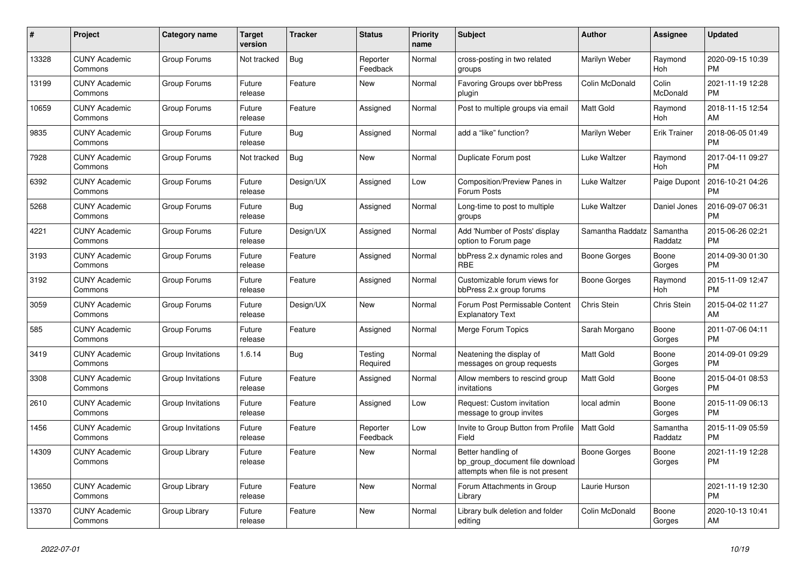| #     | Project                         | Category name     | Target<br>version | Tracker    | <b>Status</b>        | <b>Priority</b><br>name | <b>Subject</b>                                                                             | <b>Author</b>    | Assignee            | <b>Updated</b>                |
|-------|---------------------------------|-------------------|-------------------|------------|----------------------|-------------------------|--------------------------------------------------------------------------------------------|------------------|---------------------|-------------------------------|
| 13328 | <b>CUNY Academic</b><br>Commons | Group Forums      | Not tracked       | Bug        | Reporter<br>Feedback | Normal                  | cross-posting in two related<br>groups                                                     | Marilyn Weber    | Raymond<br>Hoh      | 2020-09-15 10:39<br><b>PM</b> |
| 13199 | <b>CUNY Academic</b><br>Commons | Group Forums      | Future<br>release | Feature    | New                  | Normal                  | <b>Favoring Groups over bbPress</b><br>plugin                                              | Colin McDonald   | Colin<br>McDonald   | 2021-11-19 12:28<br><b>PM</b> |
| 10659 | <b>CUNY Academic</b><br>Commons | Group Forums      | Future<br>release | Feature    | Assigned             | Normal                  | Post to multiple groups via email                                                          | Matt Gold        | Raymond<br>Hoh      | 2018-11-15 12:54<br>AM        |
| 9835  | <b>CUNY Academic</b><br>Commons | Group Forums      | Future<br>release | <b>Bug</b> | Assigned             | Normal                  | add a "like" function?                                                                     | Marilyn Weber    | <b>Erik Trainer</b> | 2018-06-05 01:49<br><b>PM</b> |
| 7928  | <b>CUNY Academic</b><br>Commons | Group Forums      | Not tracked       | <b>Bug</b> | New                  | Normal                  | Duplicate Forum post                                                                       | Luke Waltzer     | Raymond<br>Hoh      | 2017-04-11 09:27<br><b>PM</b> |
| 6392  | <b>CUNY Academic</b><br>Commons | Group Forums      | Future<br>release | Design/UX  | Assigned             | Low                     | <b>Composition/Preview Panes in</b><br>Forum Posts                                         | Luke Waltzer     | Paige Dupont        | 2016-10-21 04:26<br><b>PM</b> |
| 5268  | <b>CUNY Academic</b><br>Commons | Group Forums      | Future<br>release | Bug        | Assigned             | Normal                  | Long-time to post to multiple<br>groups                                                    | Luke Waltzer     | Daniel Jones        | 2016-09-07 06:31<br><b>PM</b> |
| 4221  | <b>CUNY Academic</b><br>Commons | Group Forums      | Future<br>release | Design/UX  | Assigned             | Normal                  | Add 'Number of Posts' display<br>option to Forum page                                      | Samantha Raddatz | Samantha<br>Raddatz | 2015-06-26 02:21<br><b>PM</b> |
| 3193  | <b>CUNY Academic</b><br>Commons | Group Forums      | Future<br>release | Feature    | Assigned             | Normal                  | bbPress 2.x dynamic roles and<br><b>RBE</b>                                                | Boone Gorges     | Boone<br>Gorges     | 2014-09-30 01:30<br><b>PM</b> |
| 3192  | <b>CUNY Academic</b><br>Commons | Group Forums      | Future<br>release | Feature    | Assigned             | Normal                  | Customizable forum views for<br>bbPress 2.x group forums                                   | Boone Gorges     | Raymond<br>Hoh      | 2015-11-09 12:47<br><b>PM</b> |
| 3059  | <b>CUNY Academic</b><br>Commons | Group Forums      | Future<br>release | Design/UX  | <b>New</b>           | Normal                  | Forum Post Permissable Content<br><b>Explanatory Text</b>                                  | Chris Stein      | Chris Stein         | 2015-04-02 11:27<br>AM        |
| 585   | <b>CUNY Academic</b><br>Commons | Group Forums      | Future<br>release | Feature    | Assigned             | Normal                  | Merge Forum Topics                                                                         | Sarah Morgano    | Boone<br>Gorges     | 2011-07-06 04:11<br><b>PM</b> |
| 3419  | <b>CUNY Academic</b><br>Commons | Group Invitations | 1.6.14            | <b>Bug</b> | Testing<br>Required  | Normal                  | Neatening the display of<br>messages on group requests                                     | Matt Gold        | Boone<br>Gorges     | 2014-09-01 09:29<br><b>PM</b> |
| 3308  | <b>CUNY Academic</b><br>Commons | Group Invitations | Future<br>release | Feature    | Assigned             | Normal                  | Allow members to rescind group<br>invitations                                              | Matt Gold        | Boone<br>Gorges     | 2015-04-01 08:53<br><b>PM</b> |
| 2610  | <b>CUNY Academic</b><br>Commons | Group Invitations | Future<br>release | Feature    | Assigned             | Low                     | Request: Custom invitation<br>message to group invites                                     | local admin      | Boone<br>Gorges     | 2015-11-09 06:13<br><b>PM</b> |
| 1456  | <b>CUNY Academic</b><br>Commons | Group Invitations | Future<br>release | Feature    | Reporter<br>Feedback | Low                     | Invite to Group Button from Profile<br>Field                                               | <b>Matt Gold</b> | Samantha<br>Raddatz | 2015-11-09 05:59<br><b>PM</b> |
| 14309 | <b>CUNY Academic</b><br>Commons | Group Library     | Future<br>release | Feature    | New                  | Normal                  | Better handling of<br>bp_group_document file download<br>attempts when file is not present | Boone Gorges     | Boone<br>Gorges     | 2021-11-19 12:28<br><b>PM</b> |
| 13650 | <b>CUNY Academic</b><br>Commons | Group Library     | Future<br>release | Feature    | New                  | Normal                  | Forum Attachments in Group<br>Library                                                      | Laurie Hurson    |                     | 2021-11-19 12:30<br><b>PM</b> |
| 13370 | <b>CUNY Academic</b><br>Commons | Group Library     | Future<br>release | Feature    | <b>New</b>           | Normal                  | Library bulk deletion and folder<br>editing                                                | Colin McDonald   | Boone<br>Gorges     | 2020-10-13 10:41<br>AM        |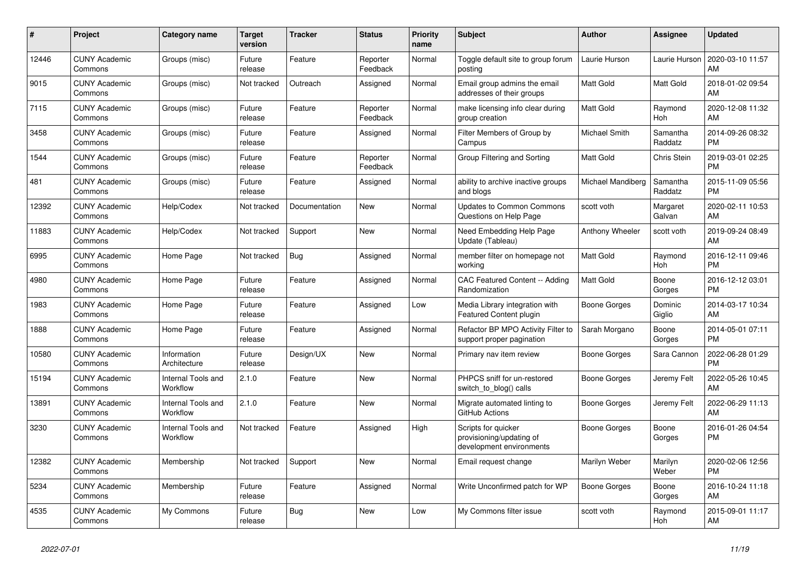| #     | Project                         | <b>Category name</b>           | <b>Target</b><br>version | <b>Tracker</b> | <b>Status</b>        | <b>Priority</b><br>name | <b>Subject</b>                                                              | <b>Author</b>          | Assignee            | <b>Updated</b>                |
|-------|---------------------------------|--------------------------------|--------------------------|----------------|----------------------|-------------------------|-----------------------------------------------------------------------------|------------------------|---------------------|-------------------------------|
| 12446 | <b>CUNY Academic</b><br>Commons | Groups (misc)                  | Future<br>release        | Feature        | Reporter<br>Feedback | Normal                  | Toggle default site to group forum<br>posting                               | Laurie Hurson          | Laurie Hurson       | 2020-03-10 11:57<br>AM        |
| 9015  | <b>CUNY Academic</b><br>Commons | Groups (misc)                  | Not tracked              | Outreach       | Assigned             | Normal                  | Email group admins the email<br>addresses of their groups                   | Matt Gold              | Matt Gold           | 2018-01-02 09:54<br>AM        |
| 7115  | <b>CUNY Academic</b><br>Commons | Groups (misc)                  | Future<br>release        | Feature        | Reporter<br>Feedback | Normal                  | make licensing info clear during<br>group creation                          | <b>Matt Gold</b>       | Raymond<br>Hoh      | 2020-12-08 11:32<br>AM        |
| 3458  | <b>CUNY Academic</b><br>Commons | Groups (misc)                  | Future<br>release        | Feature        | Assigned             | Normal                  | Filter Members of Group by<br>Campus                                        | Michael Smith          | Samantha<br>Raddatz | 2014-09-26 08:32<br><b>PM</b> |
| 1544  | <b>CUNY Academic</b><br>Commons | Groups (misc)                  | Future<br>release        | Feature        | Reporter<br>Feedback | Normal                  | Group Filtering and Sorting                                                 | Matt Gold              | <b>Chris Stein</b>  | 2019-03-01 02:25<br><b>PM</b> |
| 481   | <b>CUNY Academic</b><br>Commons | Groups (misc)                  | Future<br>release        | Feature        | Assigned             | Normal                  | ability to archive inactive groups<br>and blogs                             | Michael Mandiberg      | Samantha<br>Raddatz | 2015-11-09 05:56<br><b>PM</b> |
| 12392 | <b>CUNY Academic</b><br>Commons | Help/Codex                     | Not tracked              | Documentation  | <b>New</b>           | Normal                  | <b>Updates to Common Commons</b><br>Questions on Help Page                  | scott voth             | Margaret<br>Galvan  | 2020-02-11 10:53<br>AM        |
| 11883 | <b>CUNY Academic</b><br>Commons | Help/Codex                     | Not tracked              | Support        | <b>New</b>           | Normal                  | Need Embedding Help Page<br>Update (Tableau)                                | <b>Anthony Wheeler</b> | scott voth          | 2019-09-24 08:49<br>AM        |
| 6995  | <b>CUNY Academic</b><br>Commons | Home Page                      | Not tracked              | Bug            | Assigned             | Normal                  | member filter on homepage not<br>working                                    | <b>Matt Gold</b>       | Raymond<br>Hoh      | 2016-12-11 09:46<br><b>PM</b> |
| 4980  | <b>CUNY Academic</b><br>Commons | Home Page                      | Future<br>release        | Feature        | Assigned             | Normal                  | CAC Featured Content -- Adding<br>Randomization                             | <b>Matt Gold</b>       | Boone<br>Gorges     | 2016-12-12 03:01<br><b>PM</b> |
| 1983  | <b>CUNY Academic</b><br>Commons | Home Page                      | Future<br>release        | Feature        | Assigned             | Low                     | Media Library integration with<br><b>Featured Content plugin</b>            | Boone Gorges           | Dominic<br>Giglio   | 2014-03-17 10:34<br>AM        |
| 1888  | <b>CUNY Academic</b><br>Commons | Home Page                      | Future<br>release        | Feature        | Assigned             | Normal                  | Refactor BP MPO Activity Filter to<br>support proper pagination             | Sarah Morgano          | Boone<br>Gorges     | 2014-05-01 07:11<br><b>PM</b> |
| 10580 | <b>CUNY Academic</b><br>Commons | Information<br>Architecture    | Future<br>release        | Design/UX      | New                  | Normal                  | Primary nav item review                                                     | Boone Gorges           | Sara Cannon         | 2022-06-28 01:29<br><b>PM</b> |
| 15194 | <b>CUNY Academic</b><br>Commons | Internal Tools and<br>Workflow | 2.1.0                    | Feature        | <b>New</b>           | Normal                  | PHPCS sniff for un-restored<br>switch to blog() calls                       | Boone Gorges           | Jeremy Felt         | 2022-05-26 10:45<br>AM        |
| 13891 | <b>CUNY Academic</b><br>Commons | Internal Tools and<br>Workflow | 2.1.0                    | Feature        | <b>New</b>           | Normal                  | Migrate automated linting to<br>GitHub Actions                              | Boone Gorges           | Jeremy Felt         | 2022-06-29 11:13<br>AM        |
| 3230  | <b>CUNY Academic</b><br>Commons | Internal Tools and<br>Workflow | Not tracked              | Feature        | Assigned             | High                    | Scripts for quicker<br>provisioning/updating of<br>development environments | <b>Boone Gorges</b>    | Boone<br>Gorges     | 2016-01-26 04:54<br><b>PM</b> |
| 12382 | <b>CUNY Academic</b><br>Commons | Membership                     | Not tracked              | Support        | <b>New</b>           | Normal                  | Email request change                                                        | Marilyn Weber          | Marilyn<br>Weber    | 2020-02-06 12:56<br><b>PM</b> |
| 5234  | <b>CUNY Academic</b><br>Commons | Membership                     | Future<br>release        | Feature        | Assigned             | Normal                  | Write Unconfirmed patch for WP                                              | Boone Gorges           | Boone<br>Gorges     | 2016-10-24 11:18<br>AM        |
| 4535  | <b>CUNY Academic</b><br>Commons | My Commons                     | Future<br>release        | <b>Bug</b>     | <b>New</b>           | Low                     | My Commons filter issue                                                     | scott voth             | Raymond<br>Hoh      | 2015-09-01 11:17<br>AM        |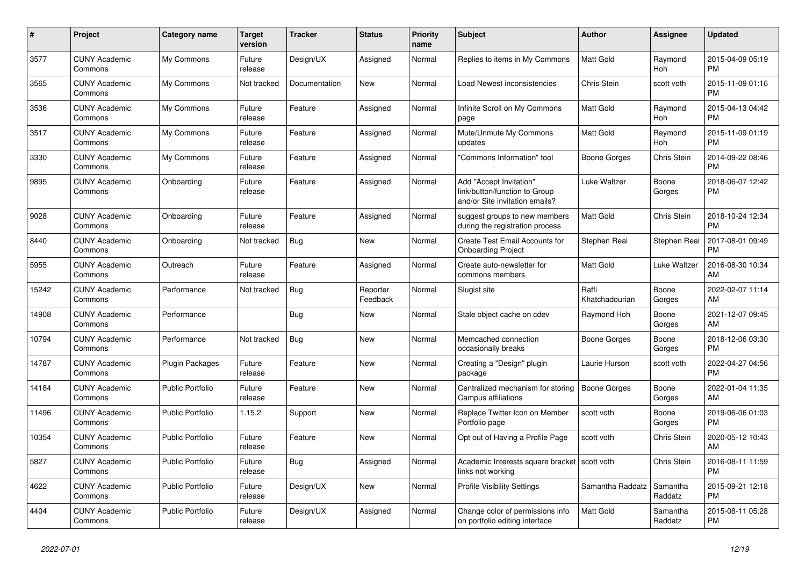| $\pmb{\#}$ | <b>Project</b>                  | Category name           | <b>Target</b><br>version | <b>Tracker</b> | <b>Status</b>        | Priority<br>name | <b>Subject</b>                                                                             | <b>Author</b>           | Assignee            | <b>Updated</b>                |
|------------|---------------------------------|-------------------------|--------------------------|----------------|----------------------|------------------|--------------------------------------------------------------------------------------------|-------------------------|---------------------|-------------------------------|
| 3577       | <b>CUNY Academic</b><br>Commons | My Commons              | Future<br>release        | Design/UX      | Assigned             | Normal           | Replies to items in My Commons                                                             | <b>Matt Gold</b>        | Raymond<br>Hoh      | 2015-04-09 05:19<br><b>PM</b> |
| 3565       | <b>CUNY Academic</b><br>Commons | My Commons              | Not tracked              | Documentation  | New                  | Normal           | Load Newest inconsistencies                                                                | Chris Stein             | scott voth          | 2015-11-09 01:16<br><b>PM</b> |
| 3536       | <b>CUNY Academic</b><br>Commons | My Commons              | Future<br>release        | Feature        | Assigned             | Normal           | Infinite Scroll on My Commons<br>page                                                      | <b>Matt Gold</b>        | Raymond<br>Hoh      | 2015-04-13 04:42<br><b>PM</b> |
| 3517       | <b>CUNY Academic</b><br>Commons | My Commons              | Future<br>release        | Feature        | Assigned             | Normal           | Mute/Unmute My Commons<br>updates                                                          | Matt Gold               | Raymond<br>Hoh      | 2015-11-09 01:19<br><b>PM</b> |
| 3330       | <b>CUNY Academic</b><br>Commons | My Commons              | Future<br>release        | Feature        | Assigned             | Normal           | "Commons Information" tool                                                                 | Boone Gorges            | Chris Stein         | 2014-09-22 08:46<br><b>PM</b> |
| 9895       | <b>CUNY Academic</b><br>Commons | Onboarding              | Future<br>release        | Feature        | Assigned             | Normal           | Add "Accept Invitation"<br>link/button/function to Group<br>and/or Site invitation emails? | Luke Waltzer            | Boone<br>Gorges     | 2018-06-07 12:42<br><b>PM</b> |
| 9028       | <b>CUNY Academic</b><br>Commons | Onboarding              | Future<br>release        | Feature        | Assigned             | Normal           | suggest groups to new members<br>during the registration process                           | <b>Matt Gold</b>        | <b>Chris Stein</b>  | 2018-10-24 12:34<br><b>PM</b> |
| 8440       | <b>CUNY Academic</b><br>Commons | Onboarding              | Not tracked              | <b>Bug</b>     | New                  | Normal           | Create Test Email Accounts for<br><b>Onboarding Project</b>                                | Stephen Real            | Stephen Real        | 2017-08-01 09:49<br><b>PM</b> |
| 5955       | <b>CUNY Academic</b><br>Commons | Outreach                | Future<br>release        | Feature        | Assigned             | Normal           | Create auto-newsletter for<br>commons members                                              | Matt Gold               | Luke Waltzer        | 2016-08-30 10:34<br>AM        |
| 15242      | <b>CUNY Academic</b><br>Commons | Performance             | Not tracked              | Bug            | Reporter<br>Feedback | Normal           | Slugist site                                                                               | Raffi<br>Khatchadourian | Boone<br>Gorges     | 2022-02-07 11:14<br>AM        |
| 14908      | <b>CUNY Academic</b><br>Commons | Performance             |                          | <b>Bug</b>     | New                  | Normal           | Stale object cache on cdev                                                                 | Raymond Hoh             | Boone<br>Gorges     | 2021-12-07 09:45<br>AM        |
| 10794      | <b>CUNY Academic</b><br>Commons | Performance             | Not tracked              | Bug            | New                  | Normal           | Memcached connection<br>occasionally breaks                                                | Boone Gorges            | Boone<br>Gorges     | 2018-12-06 03:30<br><b>PM</b> |
| 14787      | <b>CUNY Academic</b><br>Commons | <b>Plugin Packages</b>  | Future<br>release        | Feature        | <b>New</b>           | Normal           | Creating a "Design" plugin<br>package                                                      | Laurie Hurson           | scott voth          | 2022-04-27 04:56<br><b>PM</b> |
| 14184      | <b>CUNY Academic</b><br>Commons | <b>Public Portfolio</b> | Future<br>release        | Feature        | <b>New</b>           | Normal           | Centralized mechanism for storing<br>Campus affiliations                                   | Boone Gorges            | Boone<br>Gorges     | 2022-01-04 11:35<br>AM        |
| 11496      | <b>CUNY Academic</b><br>Commons | <b>Public Portfolio</b> | 1.15.2                   | Support        | New                  | Normal           | Replace Twitter Icon on Member<br>Portfolio page                                           | scott voth              | Boone<br>Gorges     | 2019-06-06 01:03<br><b>PM</b> |
| 10354      | <b>CUNY Academic</b><br>Commons | Public Portfolio        | Future<br>release        | Feature        | New                  | Normal           | Opt out of Having a Profile Page                                                           | scott voth              | Chris Stein         | 2020-05-12 10:43<br>AM        |
| 5827       | <b>CUNY Academic</b><br>Commons | <b>Public Portfolio</b> | Future<br>release        | Bug            | Assigned             | Normal           | Academic Interests square bracket   scott voth<br>links not working                        |                         | <b>Chris Stein</b>  | 2016-08-11 11:59<br><b>PM</b> |
| 4622       | <b>CUNY Academic</b><br>Commons | <b>Public Portfolio</b> | Future<br>release        | Design/UX      | New                  | Normal           | <b>Profile Visibility Settings</b>                                                         | Samantha Raddatz        | Samantha<br>Raddatz | 2015-09-21 12:18<br><b>PM</b> |
| 4404       | <b>CUNY Academic</b><br>Commons | Public Portfolio        | Future<br>release        | Design/UX      | Assigned             | Normal           | Change color of permissions info<br>on portfolio editing interface                         | <b>Matt Gold</b>        | Samantha<br>Raddatz | 2015-08-11 05:28<br><b>PM</b> |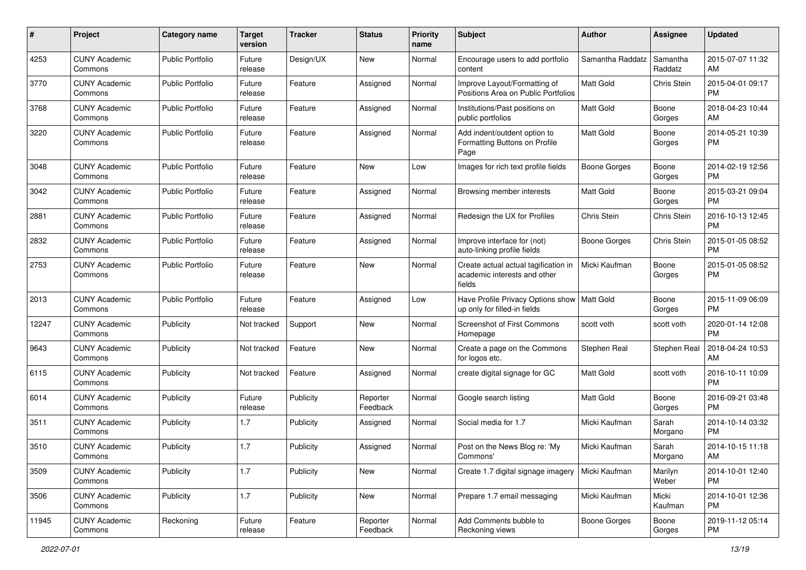| #     | Project                         | <b>Category name</b>    | <b>Target</b><br>version | <b>Tracker</b> | <b>Status</b>        | <b>Priority</b><br>name | <b>Subject</b>                                                                 | Author              | <b>Assignee</b>     | <b>Updated</b>                |
|-------|---------------------------------|-------------------------|--------------------------|----------------|----------------------|-------------------------|--------------------------------------------------------------------------------|---------------------|---------------------|-------------------------------|
| 4253  | <b>CUNY Academic</b><br>Commons | <b>Public Portfolio</b> | Future<br>release        | Design/UX      | New                  | Normal                  | Encourage users to add portfolio<br>content                                    | Samantha Raddatz    | Samantha<br>Raddatz | 2015-07-07 11:32<br>AM        |
| 3770  | <b>CUNY Academic</b><br>Commons | <b>Public Portfolio</b> | Future<br>release        | Feature        | Assigned             | Normal                  | Improve Layout/Formatting of<br>Positions Area on Public Portfolios            | Matt Gold           | Chris Stein         | 2015-04-01 09:17<br><b>PM</b> |
| 3768  | <b>CUNY Academic</b><br>Commons | <b>Public Portfolio</b> | Future<br>release        | Feature        | Assigned             | Normal                  | Institutions/Past positions on<br>public portfolios                            | Matt Gold           | Boone<br>Gorges     | 2018-04-23 10:44<br>AM        |
| 3220  | <b>CUNY Academic</b><br>Commons | <b>Public Portfolio</b> | Future<br>release        | Feature        | Assigned             | Normal                  | Add indent/outdent option to<br>Formatting Buttons on Profile<br>Page          | <b>Matt Gold</b>    | Boone<br>Gorges     | 2014-05-21 10:39<br>PM        |
| 3048  | <b>CUNY Academic</b><br>Commons | <b>Public Portfolio</b> | Future<br>release        | Feature        | New                  | Low                     | Images for rich text profile fields                                            | Boone Gorges        | Boone<br>Gorges     | 2014-02-19 12:56<br>PM.       |
| 3042  | <b>CUNY Academic</b><br>Commons | <b>Public Portfolio</b> | Future<br>release        | Feature        | Assigned             | Normal                  | Browsing member interests                                                      | Matt Gold           | Boone<br>Gorges     | 2015-03-21 09:04<br><b>PM</b> |
| 2881  | <b>CUNY Academic</b><br>Commons | <b>Public Portfolio</b> | Future<br>release        | Feature        | Assigned             | Normal                  | Redesign the UX for Profiles                                                   | Chris Stein         | Chris Stein         | 2016-10-13 12:45<br><b>PM</b> |
| 2832  | <b>CUNY Academic</b><br>Commons | <b>Public Portfolio</b> | Future<br>release        | Feature        | Assigned             | Normal                  | Improve interface for (not)<br>auto-linking profile fields                     | Boone Gorges        | Chris Stein         | 2015-01-05 08:52<br><b>PM</b> |
| 2753  | <b>CUNY Academic</b><br>Commons | <b>Public Portfolio</b> | Future<br>release        | Feature        | New                  | Normal                  | Create actual actual tagification in<br>academic interests and other<br>fields | Micki Kaufman       | Boone<br>Gorges     | 2015-01-05 08:52<br>PM.       |
| 2013  | <b>CUNY Academic</b><br>Commons | Public Portfolio        | Future<br>release        | Feature        | Assigned             | Low                     | Have Profile Privacy Options show   Matt Gold<br>up only for filled-in fields  |                     | Boone<br>Gorges     | 2015-11-09 06:09<br>PM.       |
| 12247 | <b>CUNY Academic</b><br>Commons | Publicity               | Not tracked              | Support        | New                  | Normal                  | Screenshot of First Commons<br>Homepage                                        | scott voth          | scott voth          | 2020-01-14 12:08<br><b>PM</b> |
| 9643  | <b>CUNY Academic</b><br>Commons | Publicity               | Not tracked              | Feature        | New                  | Normal                  | Create a page on the Commons<br>for logos etc.                                 | Stephen Real        | Stephen Real        | 2018-04-24 10:53<br>AM.       |
| 6115  | <b>CUNY Academic</b><br>Commons | Publicity               | Not tracked              | Feature        | Assigned             | Normal                  | create digital signage for GC                                                  | <b>Matt Gold</b>    | scott voth          | 2016-10-11 10:09<br>PM.       |
| 6014  | <b>CUNY Academic</b><br>Commons | Publicity               | Future<br>release        | Publicity      | Reporter<br>Feedback | Normal                  | Google search listing                                                          | Matt Gold           | Boone<br>Gorges     | 2016-09-21 03:48<br><b>PM</b> |
| 3511  | <b>CUNY Academic</b><br>Commons | Publicity               | 1.7                      | Publicity      | Assigned             | Normal                  | Social media for 1.7                                                           | Micki Kaufman       | Sarah<br>Morgano    | 2014-10-14 03:32<br><b>PM</b> |
| 3510  | <b>CUNY Academic</b><br>Commons | Publicity               | 1.7                      | Publicity      | Assigned             | Normal                  | Post on the News Blog re: 'My<br>Commons'                                      | Micki Kaufman       | Sarah<br>Morgano    | 2014-10-15 11:18<br>AM        |
| 3509  | <b>CUNY Academic</b><br>Commons | Publicity               | 1.7                      | Publicity      | New                  | Normal                  | Create 1.7 digital signage imagery                                             | Micki Kaufman       | Marilyn<br>Weber    | 2014-10-01 12:40<br>PM.       |
| 3506  | <b>CUNY Academic</b><br>Commons | Publicity               | 1.7                      | Publicity      | New                  | Normal                  | Prepare 1.7 email messaging                                                    | Micki Kaufman       | Micki<br>Kaufman    | 2014-10-01 12:36<br><b>PM</b> |
| 11945 | <b>CUNY Academic</b><br>Commons | Reckoning               | Future<br>release        | Feature        | Reporter<br>Feedback | Normal                  | Add Comments bubble to<br>Reckoning views                                      | <b>Boone Gorges</b> | Boone<br>Gorges     | 2019-11-12 05:14<br><b>PM</b> |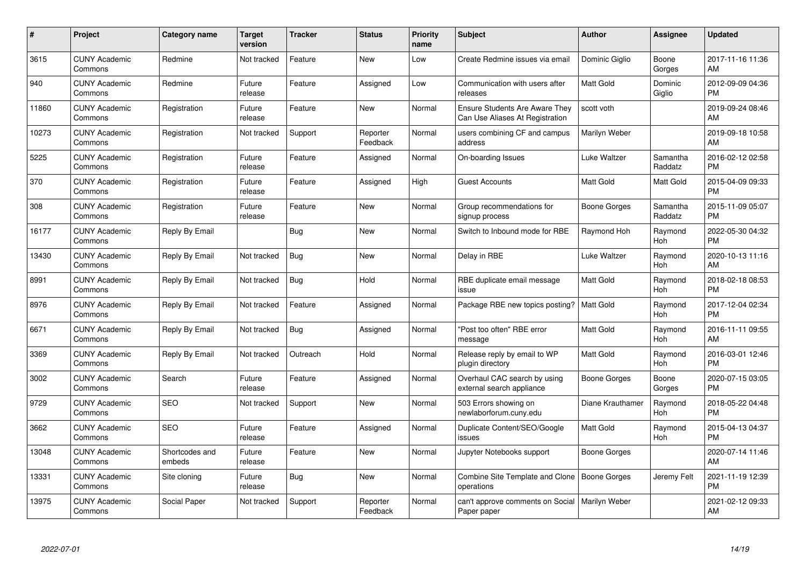| $\#$  | Project                         | <b>Category name</b>     | <b>Target</b><br>version | <b>Tracker</b> | <b>Status</b>        | Priority<br>name | <b>Subject</b>                                                    | <b>Author</b>       | <b>Assignee</b>     | <b>Updated</b>                |
|-------|---------------------------------|--------------------------|--------------------------|----------------|----------------------|------------------|-------------------------------------------------------------------|---------------------|---------------------|-------------------------------|
| 3615  | <b>CUNY Academic</b><br>Commons | Redmine                  | Not tracked              | Feature        | <b>New</b>           | Low              | Create Redmine issues via email                                   | Dominic Giglio      | Boone<br>Gorges     | 2017-11-16 11:36<br>AM        |
| 940   | <b>CUNY Academic</b><br>Commons | Redmine                  | Future<br>release        | Feature        | Assigned             | Low              | Communication with users after<br>releases                        | <b>Matt Gold</b>    | Dominic<br>Giglio   | 2012-09-09 04:36<br><b>PM</b> |
| 11860 | <b>CUNY Academic</b><br>Commons | Registration             | Future<br>release        | Feature        | <b>New</b>           | Normal           | Ensure Students Are Aware They<br>Can Use Aliases At Registration | scott voth          |                     | 2019-09-24 08:46<br>AM        |
| 10273 | <b>CUNY Academic</b><br>Commons | Registration             | Not tracked              | Support        | Reporter<br>Feedback | Normal           | users combining CF and campus<br>address                          | Marilyn Weber       |                     | 2019-09-18 10:58<br>AM        |
| 5225  | <b>CUNY Academic</b><br>Commons | Registration             | Future<br>release        | Feature        | Assigned             | Normal           | On-boarding Issues                                                | Luke Waltzer        | Samantha<br>Raddatz | 2016-02-12 02:58<br><b>PM</b> |
| 370   | <b>CUNY Academic</b><br>Commons | Registration             | Future<br>release        | Feature        | Assigned             | High             | <b>Guest Accounts</b>                                             | <b>Matt Gold</b>    | Matt Gold           | 2015-04-09 09:33<br><b>PM</b> |
| 308   | <b>CUNY Academic</b><br>Commons | Registration             | Future<br>release        | Feature        | <b>New</b>           | Normal           | Group recommendations for<br>signup process                       | Boone Gorges        | Samantha<br>Raddatz | 2015-11-09 05:07<br><b>PM</b> |
| 16177 | <b>CUNY Academic</b><br>Commons | Reply By Email           |                          | Bug            | New                  | Normal           | Switch to Inbound mode for RBE                                    | Raymond Hoh         | Raymond<br>Hoh      | 2022-05-30 04:32<br><b>PM</b> |
| 13430 | <b>CUNY Academic</b><br>Commons | Reply By Email           | Not tracked              | <b>Bug</b>     | <b>New</b>           | Normal           | Delay in RBE                                                      | Luke Waltzer        | Raymond<br>Hoh      | 2020-10-13 11:16<br>AM        |
| 8991  | <b>CUNY Academic</b><br>Commons | Reply By Email           | Not tracked              | Bug            | Hold                 | Normal           | RBE duplicate email message<br>issue                              | <b>Matt Gold</b>    | Raymond<br>Hoh      | 2018-02-18 08:53<br><b>PM</b> |
| 8976  | <b>CUNY Academic</b><br>Commons | Reply By Email           | Not tracked              | Feature        | Assigned             | Normal           | Package RBE new topics posting?                                   | <b>Matt Gold</b>    | Raymond<br>Hoh      | 2017-12-04 02:34<br><b>PM</b> |
| 6671  | <b>CUNY Academic</b><br>Commons | Reply By Email           | Not tracked              | Bug            | Assigned             | Normal           | "Post too often" RBE error<br>message                             | Matt Gold           | Raymond<br>Hoh      | 2016-11-11 09:55<br>AM        |
| 3369  | <b>CUNY Academic</b><br>Commons | Reply By Email           | Not tracked              | Outreach       | Hold                 | Normal           | Release reply by email to WP<br>plugin directory                  | Matt Gold           | Raymond<br>Hoh      | 2016-03-01 12:46<br><b>PM</b> |
| 3002  | <b>CUNY Academic</b><br>Commons | Search                   | Future<br>release        | Feature        | Assigned             | Normal           | Overhaul CAC search by using<br>external search appliance         | <b>Boone Gorges</b> | Boone<br>Gorges     | 2020-07-15 03:05<br><b>PM</b> |
| 9729  | <b>CUNY Academic</b><br>Commons | <b>SEO</b>               | Not tracked              | Support        | New                  | Normal           | 503 Errors showing on<br>newlaborforum.cuny.edu                   | Diane Krauthamer    | Raymond<br>Hoh      | 2018-05-22 04:48<br><b>PM</b> |
| 3662  | <b>CUNY Academic</b><br>Commons | <b>SEO</b>               | Future<br>release        | Feature        | Assigned             | Normal           | Duplicate Content/SEO/Google<br>issues                            | Matt Gold           | Raymond<br>Hoh      | 2015-04-13 04:37<br><b>PM</b> |
| 13048 | <b>CUNY Academic</b><br>Commons | Shortcodes and<br>embeds | Future<br>release        | Feature        | New                  | Normal           | Jupyter Notebooks support                                         | Boone Gorges        |                     | 2020-07-14 11:46<br>AM        |
| 13331 | <b>CUNY Academic</b><br>Commons | Site cloning             | Future<br>release        | Bug            | New                  | Normal           | Combine Site Template and Clone<br>operations                     | Boone Gorges        | Jeremy Felt         | 2021-11-19 12:39<br><b>PM</b> |
| 13975 | <b>CUNY Academic</b><br>Commons | Social Paper             | Not tracked              | Support        | Reporter<br>Feedback | Normal           | can't approve comments on Social<br>Paper paper                   | Marilyn Weber       |                     | 2021-02-12 09:33<br>AM        |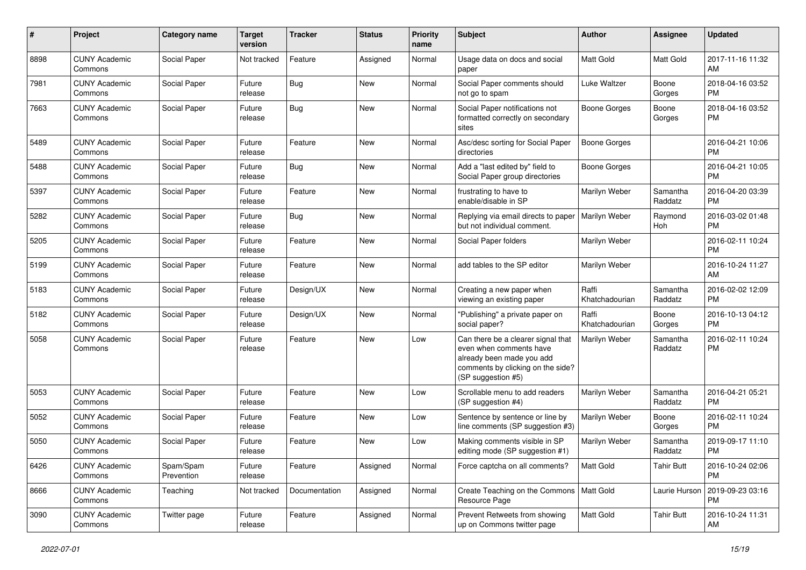| #    | Project                         | <b>Category name</b>    | <b>Target</b><br>version | <b>Tracker</b> | <b>Status</b> | <b>Priority</b><br>name | <b>Subject</b>                                                                                                                                        | Author                  | <b>Assignee</b>     | <b>Updated</b>                |
|------|---------------------------------|-------------------------|--------------------------|----------------|---------------|-------------------------|-------------------------------------------------------------------------------------------------------------------------------------------------------|-------------------------|---------------------|-------------------------------|
| 8898 | <b>CUNY Academic</b><br>Commons | Social Paper            | Not tracked              | Feature        | Assigned      | Normal                  | Usage data on docs and social<br>paper                                                                                                                | <b>Matt Gold</b>        | Matt Gold           | 2017-11-16 11:32<br>AM        |
| 7981 | <b>CUNY Academic</b><br>Commons | Social Paper            | Future<br>release        | Bug            | New           | Normal                  | Social Paper comments should<br>not go to spam                                                                                                        | Luke Waltzer            | Boone<br>Gorges     | 2018-04-16 03:52<br><b>PM</b> |
| 7663 | <b>CUNY Academic</b><br>Commons | Social Paper            | Future<br>release        | Bug            | <b>New</b>    | Normal                  | Social Paper notifications not<br>formatted correctly on secondary<br>sites                                                                           | <b>Boone Gorges</b>     | Boone<br>Gorges     | 2018-04-16 03:52<br><b>PM</b> |
| 5489 | <b>CUNY Academic</b><br>Commons | Social Paper            | Future<br>release        | Feature        | <b>New</b>    | Normal                  | Asc/desc sorting for Social Paper<br>directories                                                                                                      | <b>Boone Gorges</b>     |                     | 2016-04-21 10:06<br>PM        |
| 5488 | <b>CUNY Academic</b><br>Commons | Social Paper            | Future<br>release        | Bug            | <b>New</b>    | Normal                  | Add a "last edited by" field to<br>Social Paper group directories                                                                                     | <b>Boone Gorges</b>     |                     | 2016-04-21 10:05<br><b>PM</b> |
| 5397 | <b>CUNY Academic</b><br>Commons | Social Paper            | Future<br>release        | Feature        | <b>New</b>    | Normal                  | frustrating to have to<br>enable/disable in SP                                                                                                        | Marilyn Weber           | Samantha<br>Raddatz | 2016-04-20 03:39<br><b>PM</b> |
| 5282 | <b>CUNY Academic</b><br>Commons | Social Paper            | Future<br>release        | <b>Bug</b>     | New           | Normal                  | Replying via email directs to paper<br>but not individual comment.                                                                                    | Marilyn Weber           | Raymond<br>Hoh      | 2016-03-02 01:48<br><b>PM</b> |
| 5205 | <b>CUNY Academic</b><br>Commons | Social Paper            | Future<br>release        | Feature        | <b>New</b>    | Normal                  | Social Paper folders                                                                                                                                  | Marilyn Weber           |                     | 2016-02-11 10:24<br><b>PM</b> |
| 5199 | <b>CUNY Academic</b><br>Commons | Social Paper            | Future<br>release        | Feature        | <b>New</b>    | Normal                  | add tables to the SP editor                                                                                                                           | Marilyn Weber           |                     | 2016-10-24 11:27<br>AM        |
| 5183 | <b>CUNY Academic</b><br>Commons | Social Paper            | Future<br>release        | Design/UX      | New           | Normal                  | Creating a new paper when<br>viewing an existing paper                                                                                                | Raffi<br>Khatchadourian | Samantha<br>Raddatz | 2016-02-02 12:09<br><b>PM</b> |
| 5182 | <b>CUNY Academic</b><br>Commons | Social Paper            | Future<br>release        | Design/UX      | <b>New</b>    | Normal                  | "Publishing" a private paper on<br>social paper?                                                                                                      | Raffi<br>Khatchadourian | Boone<br>Gorges     | 2016-10-13 04:12<br><b>PM</b> |
| 5058 | <b>CUNY Academic</b><br>Commons | Social Paper            | Future<br>release        | Feature        | <b>New</b>    | Low                     | Can there be a clearer signal that<br>even when comments have<br>already been made you add<br>comments by clicking on the side?<br>(SP suggestion #5) | Marilyn Weber           | Samantha<br>Raddatz | 2016-02-11 10:24<br><b>PM</b> |
| 5053 | <b>CUNY Academic</b><br>Commons | Social Paper            | Future<br>release        | Feature        | <b>New</b>    | Low                     | Scrollable menu to add readers<br>(SP suggestion #4)                                                                                                  | Marilyn Weber           | Samantha<br>Raddatz | 2016-04-21 05:21<br><b>PM</b> |
| 5052 | <b>CUNY Academic</b><br>Commons | Social Paper            | Future<br>release        | Feature        | New           | Low                     | Sentence by sentence or line by<br>line comments (SP suggestion #3)                                                                                   | Marilyn Weber           | Boone<br>Gorges     | 2016-02-11 10:24<br><b>PM</b> |
| 5050 | <b>CUNY Academic</b><br>Commons | Social Paper            | Future<br>release        | Feature        | <b>New</b>    | Low                     | Making comments visible in SP<br>editing mode (SP suggestion #1)                                                                                      | Marilyn Weber           | Samantha<br>Raddatz | 2019-09-17 11:10<br><b>PM</b> |
| 6426 | <b>CUNY Academic</b><br>Commons | Spam/Spam<br>Prevention | Future<br>release        | Feature        | Assigned      | Normal                  | Force captcha on all comments?                                                                                                                        | Matt Gold               | <b>Tahir Butt</b>   | 2016-10-24 02:06<br><b>PM</b> |
| 8666 | <b>CUNY Academic</b><br>Commons | Teaching                | Not tracked              | Documentation  | Assigned      | Normal                  | Create Teaching on the Commons   Matt Gold<br>Resource Page                                                                                           |                         | Laurie Hurson       | 2019-09-23 03:16<br>PM        |
| 3090 | <b>CUNY Academic</b><br>Commons | Twitter page            | Future<br>release        | Feature        | Assigned      | Normal                  | Prevent Retweets from showing<br>up on Commons twitter page                                                                                           | Matt Gold               | <b>Tahir Butt</b>   | 2016-10-24 11:31<br>AM        |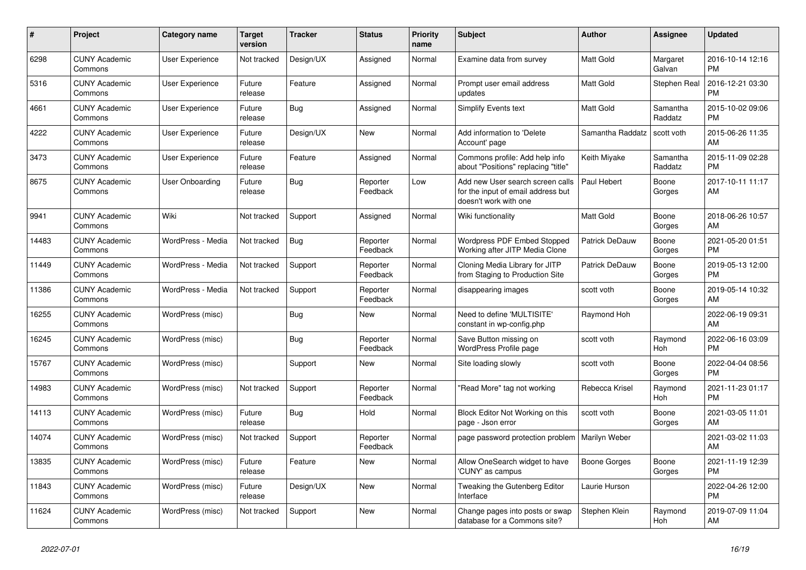| #     | Project                         | <b>Category name</b>   | <b>Target</b><br>version | <b>Tracker</b> | <b>Status</b>        | Priority<br>name | <b>Subject</b>                                                                                  | <b>Author</b>        | Assignee            | <b>Updated</b>                |
|-------|---------------------------------|------------------------|--------------------------|----------------|----------------------|------------------|-------------------------------------------------------------------------------------------------|----------------------|---------------------|-------------------------------|
| 6298  | <b>CUNY Academic</b><br>Commons | <b>User Experience</b> | Not tracked              | Design/UX      | Assigned             | Normal           | Examine data from survey                                                                        | <b>Matt Gold</b>     | Margaret<br>Galvan  | 2016-10-14 12:16<br><b>PM</b> |
| 5316  | <b>CUNY Academic</b><br>Commons | User Experience        | Future<br>release        | Feature        | Assigned             | Normal           | Prompt user email address<br>updates                                                            | <b>Matt Gold</b>     | Stephen Real        | 2016-12-21 03:30<br><b>PM</b> |
| 4661  | <b>CUNY Academic</b><br>Commons | User Experience        | Future<br>release        | <b>Bug</b>     | Assigned             | Normal           | Simplify Events text                                                                            | <b>Matt Gold</b>     | Samantha<br>Raddatz | 2015-10-02 09:06<br><b>PM</b> |
| 4222  | <b>CUNY Academic</b><br>Commons | User Experience        | Future<br>release        | Design/UX      | <b>New</b>           | Normal           | Add information to 'Delete<br>Account' page                                                     | Samantha Raddatz     | scott voth          | 2015-06-26 11:35<br>AM        |
| 3473  | <b>CUNY Academic</b><br>Commons | <b>User Experience</b> | Future<br>release        | Feature        | Assigned             | Normal           | Commons profile: Add help info<br>about "Positions" replacing "title"                           | Keith Miyake         | Samantha<br>Raddatz | 2015-11-09 02:28<br><b>PM</b> |
| 8675  | <b>CUNY Academic</b><br>Commons | User Onboarding        | Future<br>release        | Bug            | Reporter<br>Feedback | Low              | Add new User search screen calls<br>for the input of email address but<br>doesn't work with one | Paul Hebert          | Boone<br>Gorges     | 2017-10-11 11:17<br>AM        |
| 9941  | <b>CUNY Academic</b><br>Commons | Wiki                   | Not tracked              | Support        | Assigned             | Normal           | Wiki functionality                                                                              | Matt Gold            | Boone<br>Gorges     | 2018-06-26 10:57<br>AM        |
| 14483 | <b>CUNY Academic</b><br>Commons | WordPress - Media      | Not tracked              | <b>Bug</b>     | Reporter<br>Feedback | Normal           | Wordpress PDF Embed Stopped<br>Working after JITP Media Clone                                   | Patrick DeDauw       | Boone<br>Gorges     | 2021-05-20 01:51<br><b>PM</b> |
| 11449 | <b>CUNY Academic</b><br>Commons | WordPress - Media      | Not tracked              | Support        | Reporter<br>Feedback | Normal           | Cloning Media Library for JITP<br>from Staging to Production Site                               | Patrick DeDauw       | Boone<br>Gorges     | 2019-05-13 12:00<br><b>PM</b> |
| 11386 | <b>CUNY Academic</b><br>Commons | WordPress - Media      | Not tracked              | Support        | Reporter<br>Feedback | Normal           | disappearing images                                                                             | scott voth           | Boone<br>Gorges     | 2019-05-14 10:32<br>AM        |
| 16255 | <b>CUNY Academic</b><br>Commons | WordPress (misc)       |                          | Bug            | New                  | Normal           | Need to define 'MULTISITE'<br>constant in wp-config.php                                         | Raymond Hoh          |                     | 2022-06-19 09:31<br>AM        |
| 16245 | <b>CUNY Academic</b><br>Commons | WordPress (misc)       |                          | Bug            | Reporter<br>Feedback | Normal           | Save Button missing on<br><b>WordPress Profile page</b>                                         | scott voth           | Raymond<br>Hoh      | 2022-06-16 03:09<br><b>PM</b> |
| 15767 | <b>CUNY Academic</b><br>Commons | WordPress (misc)       |                          | Support        | New                  | Normal           | Site loading slowly                                                                             | scott voth           | Boone<br>Gorges     | 2022-04-04 08:56<br><b>PM</b> |
| 14983 | <b>CUNY Academic</b><br>Commons | WordPress (misc)       | Not tracked              | Support        | Reporter<br>Feedback | Normal           | "Read More" tag not working                                                                     | Rebecca Krisel       | Raymond<br>Hoh      | 2021-11-23 01:17<br><b>PM</b> |
| 14113 | <b>CUNY Academic</b><br>Commons | WordPress (misc)       | Future<br>release        | <b>Bug</b>     | Hold                 | Normal           | Block Editor Not Working on this<br>page - Json error                                           | scott voth           | Boone<br>Gorges     | 2021-03-05 11:01<br>AM        |
| 14074 | <b>CUNY Academic</b><br>Commons | WordPress (misc)       | Not tracked              | Support        | Reporter<br>Feedback | Normal           | page password protection problem                                                                | <b>Marilyn Weber</b> |                     | 2021-03-02 11:03<br>AM        |
| 13835 | <b>CUNY Academic</b><br>Commons | WordPress (misc)       | Future<br>release        | Feature        | New                  | Normal           | Allow OneSearch widget to have<br>'CUNY' as campus                                              | Boone Gorges         | Boone<br>Gorges     | 2021-11-19 12:39<br><b>PM</b> |
| 11843 | <b>CUNY Academic</b><br>Commons | WordPress (misc)       | Future<br>release        | Design/UX      | New                  | Normal           | Tweaking the Gutenberg Editor<br>Interface                                                      | Laurie Hurson        |                     | 2022-04-26 12:00<br><b>PM</b> |
| 11624 | <b>CUNY Academic</b><br>Commons | WordPress (misc)       | Not tracked              | Support        | <b>New</b>           | Normal           | Change pages into posts or swap<br>database for a Commons site?                                 | Stephen Klein        | Raymond<br>Hoh      | 2019-07-09 11:04<br>AM        |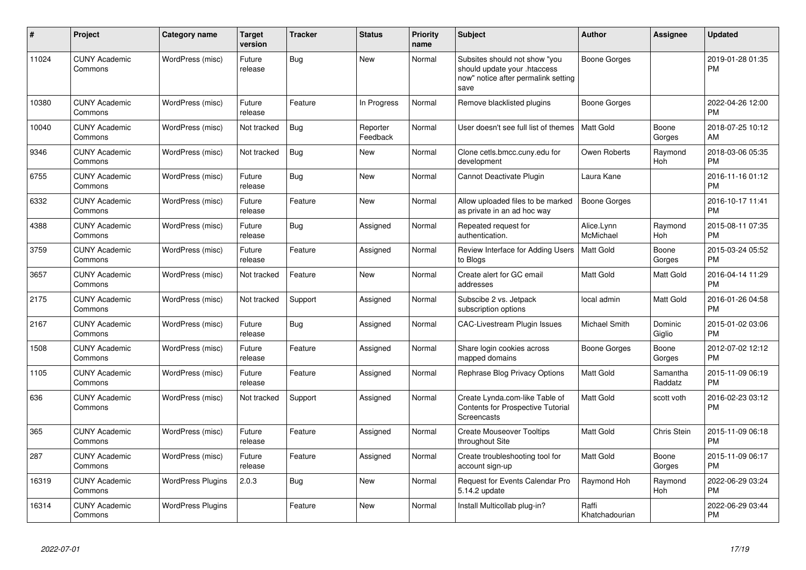| $\pmb{\#}$ | Project                         | <b>Category name</b>     | <b>Target</b><br>version | <b>Tracker</b> | <b>Status</b>        | <b>Priority</b><br>name | <b>Subject</b>                                                                                               | <b>Author</b>           | <b>Assignee</b>     | <b>Updated</b>                |
|------------|---------------------------------|--------------------------|--------------------------|----------------|----------------------|-------------------------|--------------------------------------------------------------------------------------------------------------|-------------------------|---------------------|-------------------------------|
| 11024      | <b>CUNY Academic</b><br>Commons | WordPress (misc)         | Future<br>release        | Bug            | <b>New</b>           | Normal                  | Subsites should not show "you<br>should update your .htaccess<br>now" notice after permalink setting<br>save | Boone Gorges            |                     | 2019-01-28 01:35<br><b>PM</b> |
| 10380      | <b>CUNY Academic</b><br>Commons | WordPress (misc)         | Future<br>release        | Feature        | In Progress          | Normal                  | Remove blacklisted plugins                                                                                   | Boone Gorges            |                     | 2022-04-26 12:00<br><b>PM</b> |
| 10040      | <b>CUNY Academic</b><br>Commons | WordPress (misc)         | Not tracked              | Bug            | Reporter<br>Feedback | Normal                  | User doesn't see full list of themes                                                                         | <b>Matt Gold</b>        | Boone<br>Gorges     | 2018-07-25 10:12<br>AM        |
| 9346       | <b>CUNY Academic</b><br>Commons | WordPress (misc)         | Not tracked              | <b>Bug</b>     | <b>New</b>           | Normal                  | Clone cetls.bmcc.cuny.edu for<br>development                                                                 | Owen Roberts            | Raymond<br>Hoh      | 2018-03-06 05:35<br><b>PM</b> |
| 6755       | <b>CUNY Academic</b><br>Commons | WordPress (misc)         | Future<br>release        | Bug            | <b>New</b>           | Normal                  | Cannot Deactivate Plugin                                                                                     | Laura Kane              |                     | 2016-11-16 01:12<br><b>PM</b> |
| 6332       | <b>CUNY Academic</b><br>Commons | WordPress (misc)         | Future<br>release        | Feature        | <b>New</b>           | Normal                  | Allow uploaded files to be marked<br>as private in an ad hoc way                                             | <b>Boone Gorges</b>     |                     | 2016-10-17 11:41<br><b>PM</b> |
| 4388       | <b>CUNY Academic</b><br>Commons | WordPress (misc)         | Future<br>release        | Bug            | Assigned             | Normal                  | Repeated request for<br>authentication.                                                                      | Alice.Lynn<br>McMichael | Raymond<br>Hoh      | 2015-08-11 07:35<br><b>PM</b> |
| 3759       | <b>CUNY Academic</b><br>Commons | WordPress (misc)         | Future<br>release        | Feature        | Assigned             | Normal                  | Review Interface for Adding Users<br>to Blogs                                                                | Matt Gold               | Boone<br>Gorges     | 2015-03-24 05:52<br><b>PM</b> |
| 3657       | <b>CUNY Academic</b><br>Commons | WordPress (misc)         | Not tracked              | Feature        | <b>New</b>           | Normal                  | Create alert for GC email<br>addresses                                                                       | Matt Gold               | Matt Gold           | 2016-04-14 11:29<br><b>PM</b> |
| 2175       | <b>CUNY Academic</b><br>Commons | WordPress (misc)         | Not tracked              | Support        | Assigned             | Normal                  | Subscibe 2 vs. Jetpack<br>subscription options                                                               | local admin             | Matt Gold           | 2016-01-26 04:58<br><b>PM</b> |
| 2167       | <b>CUNY Academic</b><br>Commons | WordPress (misc)         | Future<br>release        | Bug            | Assigned             | Normal                  | <b>CAC-Livestream Plugin Issues</b>                                                                          | Michael Smith           | Dominic<br>Giglio   | 2015-01-02 03:06<br><b>PM</b> |
| 1508       | <b>CUNY Academic</b><br>Commons | WordPress (misc)         | Future<br>release        | Feature        | Assigned             | Normal                  | Share login cookies across<br>mapped domains                                                                 | Boone Gorges            | Boone<br>Gorges     | 2012-07-02 12:12<br><b>PM</b> |
| 1105       | <b>CUNY Academic</b><br>Commons | WordPress (misc)         | Future<br>release        | Feature        | Assigned             | Normal                  | Rephrase Blog Privacy Options                                                                                | <b>Matt Gold</b>        | Samantha<br>Raddatz | 2015-11-09 06:19<br><b>PM</b> |
| 636        | <b>CUNY Academic</b><br>Commons | WordPress (misc)         | Not tracked              | Support        | Assigned             | Normal                  | Create Lynda.com-like Table of<br><b>Contents for Prospective Tutorial</b><br>Screencasts                    | Matt Gold               | scott voth          | 2016-02-23 03:12<br><b>PM</b> |
| 365        | <b>CUNY Academic</b><br>Commons | WordPress (misc)         | Future<br>release        | Feature        | Assigned             | Normal                  | <b>Create Mouseover Tooltips</b><br>throughout Site                                                          | Matt Gold               | Chris Stein         | 2015-11-09 06:18<br><b>PM</b> |
| 287        | <b>CUNY Academic</b><br>Commons | WordPress (misc)         | Future<br>release        | Feature        | Assigned             | Normal                  | Create troubleshooting tool for<br>account sign-up                                                           | Matt Gold               | Boone<br>Gorges     | 2015-11-09 06:17<br><b>PM</b> |
| 16319      | <b>CUNY Academic</b><br>Commons | <b>WordPress Plugins</b> | 2.0.3                    | <b>Bug</b>     | <b>New</b>           | Normal                  | Request for Events Calendar Pro<br>5.14.2 update                                                             | Raymond Hoh             | Raymond<br>Hoh      | 2022-06-29 03:24<br><b>PM</b> |
| 16314      | <b>CUNY Academic</b><br>Commons | <b>WordPress Plugins</b> |                          | Feature        | <b>New</b>           | Normal                  | Install Multicollab plug-in?                                                                                 | Raffi<br>Khatchadourian |                     | 2022-06-29 03:44<br>PM        |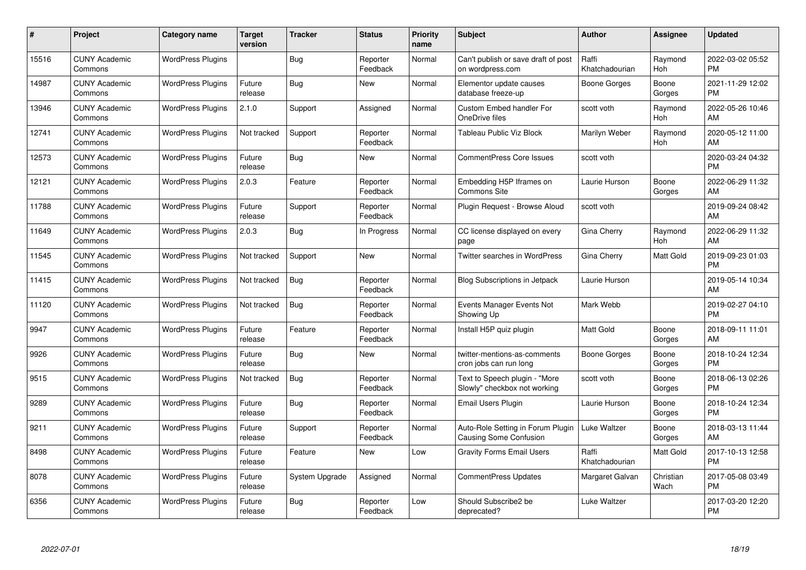| #     | Project                         | <b>Category name</b>     | <b>Target</b><br>version | <b>Tracker</b> | <b>Status</b>        | Priority<br>name | <b>Subject</b>                                                | <b>Author</b>           | <b>Assignee</b>   | <b>Updated</b>                |
|-------|---------------------------------|--------------------------|--------------------------|----------------|----------------------|------------------|---------------------------------------------------------------|-------------------------|-------------------|-------------------------------|
| 15516 | <b>CUNY Academic</b><br>Commons | <b>WordPress Plugins</b> |                          | Bug            | Reporter<br>Feedback | Normal           | Can't publish or save draft of post<br>on wordpress.com       | Raffi<br>Khatchadourian | Raymond<br>Hoh    | 2022-03-02 05:52<br><b>PM</b> |
| 14987 | <b>CUNY Academic</b><br>Commons | <b>WordPress Plugins</b> | Future<br>release        | Bug            | <b>New</b>           | Normal           | Elementor update causes<br>database freeze-up                 | Boone Gorges            | Boone<br>Gorges   | 2021-11-29 12:02<br><b>PM</b> |
| 13946 | <b>CUNY Academic</b><br>Commons | <b>WordPress Plugins</b> | 2.1.0                    | Support        | Assigned             | Normal           | <b>Custom Embed handler For</b><br>OneDrive files             | scott voth              | Raymond<br>Hoh    | 2022-05-26 10:46<br>AM        |
| 12741 | <b>CUNY Academic</b><br>Commons | <b>WordPress Plugins</b> | Not tracked              | Support        | Reporter<br>Feedback | Normal           | Tableau Public Viz Block                                      | Marilyn Weber           | Raymond<br>Hoh    | 2020-05-12 11:00<br>AM        |
| 12573 | <b>CUNY Academic</b><br>Commons | <b>WordPress Plugins</b> | Future<br>release        | Bug            | New                  | Normal           | <b>CommentPress Core Issues</b>                               | scott voth              |                   | 2020-03-24 04:32<br><b>PM</b> |
| 12121 | <b>CUNY Academic</b><br>Commons | <b>WordPress Plugins</b> | 2.0.3                    | Feature        | Reporter<br>Feedback | Normal           | Embedding H5P Iframes on<br><b>Commons Site</b>               | Laurie Hurson           | Boone<br>Gorges   | 2022-06-29 11:32<br>AM        |
| 11788 | <b>CUNY Academic</b><br>Commons | <b>WordPress Plugins</b> | Future<br>release        | Support        | Reporter<br>Feedback | Normal           | Plugin Request - Browse Aloud                                 | scott voth              |                   | 2019-09-24 08:42<br>AM        |
| 11649 | <b>CUNY Academic</b><br>Commons | <b>WordPress Plugins</b> | 2.0.3                    | Bug            | In Progress          | Normal           | CC license displayed on every<br>page                         | Gina Cherry             | Raymond<br>Hoh    | 2022-06-29 11:32<br>AM        |
| 11545 | <b>CUNY Academic</b><br>Commons | <b>WordPress Plugins</b> | Not tracked              | Support        | <b>New</b>           | Normal           | <b>Twitter searches in WordPress</b>                          | Gina Cherry             | Matt Gold         | 2019-09-23 01:03<br><b>PM</b> |
| 11415 | <b>CUNY Academic</b><br>Commons | <b>WordPress Plugins</b> | Not tracked              | Bug            | Reporter<br>Feedback | Normal           | <b>Blog Subscriptions in Jetpack</b>                          | Laurie Hurson           |                   | 2019-05-14 10:34<br>AM        |
| 11120 | <b>CUNY Academic</b><br>Commons | <b>WordPress Plugins</b> | Not tracked              | Bug            | Reporter<br>Feedback | Normal           | Events Manager Events Not<br>Showing Up                       | Mark Webb               |                   | 2019-02-27 04:10<br><b>PM</b> |
| 9947  | <b>CUNY Academic</b><br>Commons | <b>WordPress Plugins</b> | Future<br>release        | Feature        | Reporter<br>Feedback | Normal           | Install H5P quiz plugin                                       | Matt Gold               | Boone<br>Gorges   | 2018-09-11 11:01<br>AM        |
| 9926  | <b>CUNY Academic</b><br>Commons | <b>WordPress Plugins</b> | Future<br>release        | Bug            | New                  | Normal           | twitter-mentions-as-comments<br>cron jobs can run long        | Boone Gorges            | Boone<br>Gorges   | 2018-10-24 12:34<br><b>PM</b> |
| 9515  | <b>CUNY Academic</b><br>Commons | <b>WordPress Plugins</b> | Not tracked              | Bug            | Reporter<br>Feedback | Normal           | Text to Speech plugin - "More<br>Slowly" checkbox not working | scott voth              | Boone<br>Gorges   | 2018-06-13 02:26<br><b>PM</b> |
| 9289  | <b>CUNY Academic</b><br>Commons | <b>WordPress Plugins</b> | Future<br>release        | Bug            | Reporter<br>Feedback | Normal           | Email Users Plugin                                            | Laurie Hurson           | Boone<br>Gorges   | 2018-10-24 12:34<br><b>PM</b> |
| 9211  | <b>CUNY Academic</b><br>Commons | <b>WordPress Plugins</b> | Future<br>release        | Support        | Reporter<br>Feedback | Normal           | Auto-Role Setting in Forum Plugin<br>Causing Some Confusion   | Luke Waltzer            | Boone<br>Gorges   | 2018-03-13 11:44<br>AM        |
| 8498  | <b>CUNY Academic</b><br>Commons | <b>WordPress Plugins</b> | Future<br>release        | Feature        | New                  | Low              | <b>Gravity Forms Email Users</b>                              | Raffi<br>Khatchadourian | Matt Gold         | 2017-10-13 12:58<br><b>PM</b> |
| 8078  | <b>CUNY Academic</b><br>Commons | <b>WordPress Plugins</b> | Future<br>release        | System Upgrade | Assigned             | Normal           | <b>CommentPress Updates</b>                                   | Margaret Galvan         | Christian<br>Wach | 2017-05-08 03:49<br><b>PM</b> |
| 6356  | CUNY Academic<br>Commons        | <b>WordPress Plugins</b> | Future<br>release        | Bug            | Reporter<br>Feedback | Low              | Should Subscribe2 be<br>deprecated?                           | Luke Waltzer            |                   | 2017-03-20 12:20<br><b>PM</b> |